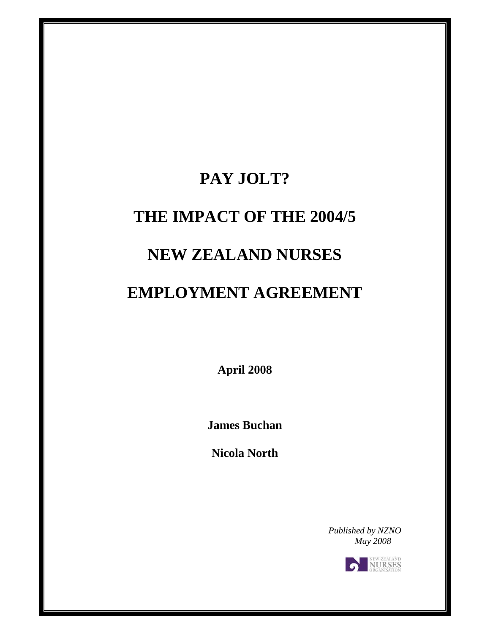# **PAY JOLT?**

## **THE IMPACT OF THE 2004/5**

## **NEW ZEALAND NURSES**

## **EMPLOYMENT AGREEMENT**

**April 2008** 

**James Buchan** 

**Nicola North** 

*Published by NZNO May 2008* 

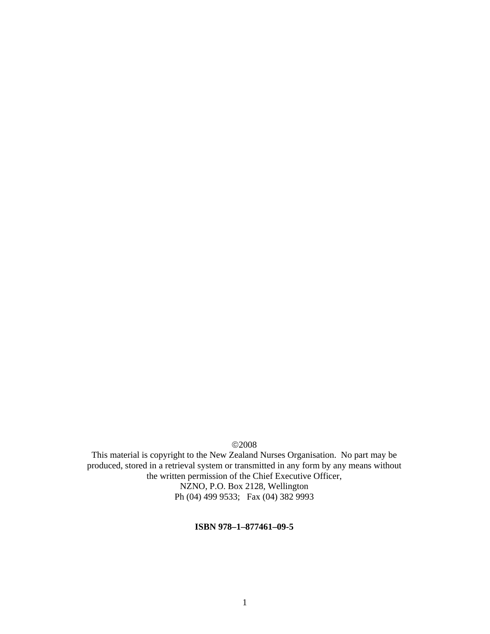©2008

This material is copyright to the New Zealand Nurses Organisation. No part may be produced, stored in a retrieval system or transmitted in any form by any means without the written permission of the Chief Executive Officer, NZNO, P.O. Box 2128, Wellington Ph (04) 499 9533; Fax (04) 382 9993

#### **ISBN 978–1–877461–09-5**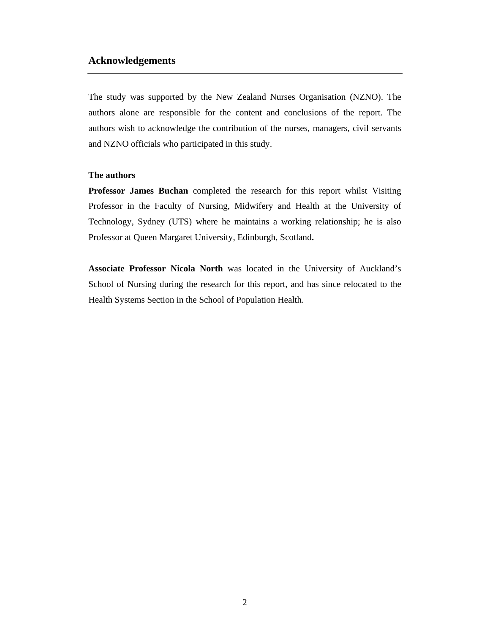#### **Acknowledgements**

The study was supported by the New Zealand Nurses Organisation (NZNO). The authors alone are responsible for the content and conclusions of the report. The authors wish to acknowledge the contribution of the nurses, managers, civil servants and NZNO officials who participated in this study.

#### **The authors**

**Professor James Buchan** completed the research for this report whilst Visiting Professor in the Faculty of Nursing, Midwifery and Health at the University of Technology, Sydney (UTS) where he maintains a working relationship; he is also Professor at Queen Margaret University, Edinburgh, Scotland**.** 

**Associate Professor Nicola North** was located in the University of Auckland's School of Nursing during the research for this report, and has since relocated to the Health Systems Section in the School of Population Health.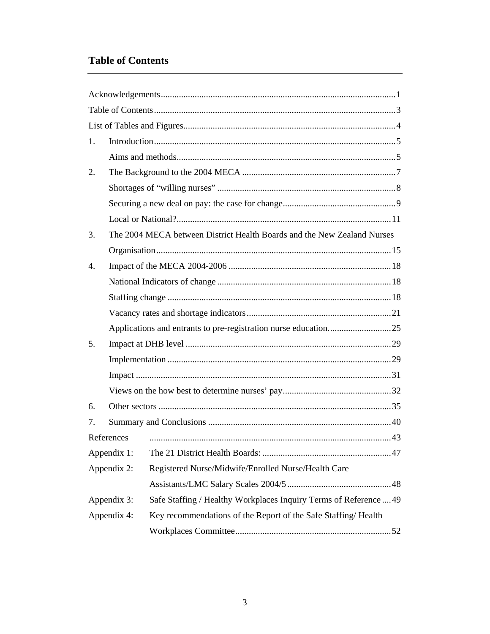### **Table of Contents**

| 1. |             |                                                                         |  |  |  |  |  |  |
|----|-------------|-------------------------------------------------------------------------|--|--|--|--|--|--|
|    |             |                                                                         |  |  |  |  |  |  |
| 2. |             |                                                                         |  |  |  |  |  |  |
|    |             |                                                                         |  |  |  |  |  |  |
|    |             |                                                                         |  |  |  |  |  |  |
|    |             |                                                                         |  |  |  |  |  |  |
| 3. |             | The 2004 MECA between District Health Boards and the New Zealand Nurses |  |  |  |  |  |  |
|    |             |                                                                         |  |  |  |  |  |  |
| 4. |             |                                                                         |  |  |  |  |  |  |
|    |             |                                                                         |  |  |  |  |  |  |
|    |             |                                                                         |  |  |  |  |  |  |
|    |             |                                                                         |  |  |  |  |  |  |
|    |             | Applications and entrants to pre-registration nurse education25         |  |  |  |  |  |  |
| 5. |             |                                                                         |  |  |  |  |  |  |
|    |             |                                                                         |  |  |  |  |  |  |
|    |             |                                                                         |  |  |  |  |  |  |
|    |             |                                                                         |  |  |  |  |  |  |
| 6. |             |                                                                         |  |  |  |  |  |  |
| 7. |             |                                                                         |  |  |  |  |  |  |
|    | References  |                                                                         |  |  |  |  |  |  |
|    | Appendix 1: |                                                                         |  |  |  |  |  |  |
|    | Appendix 2: | Registered Nurse/Midwife/Enrolled Nurse/Health Care                     |  |  |  |  |  |  |
|    |             |                                                                         |  |  |  |  |  |  |
|    | Appendix 3: | Safe Staffing / Healthy Workplaces Inquiry Terms of Reference  49       |  |  |  |  |  |  |
|    | Appendix 4: | Key recommendations of the Report of the Safe Staffing/Health           |  |  |  |  |  |  |
|    |             |                                                                         |  |  |  |  |  |  |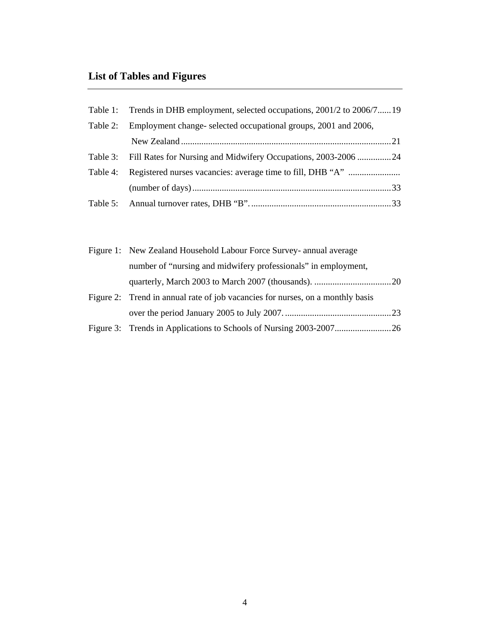## **List of Tables and Figures**

|          | Table 1: Trends in DHB employment, selected occupations, 2001/2 to 2006/719 |  |
|----------|-----------------------------------------------------------------------------|--|
| Table 2: | Employment change- selected occupational groups, 2001 and 2006,             |  |
|          |                                                                             |  |
|          | Table 3: Fill Rates for Nursing and Midwifery Occupations, 2003-2006 24     |  |
|          | Table 4: Registered nurses vacancies: average time to fill, DHB "A"         |  |
|          |                                                                             |  |
|          |                                                                             |  |

| Figure 1: New Zealand Household Labour Force Survey- annual average            |  |  |  |  |
|--------------------------------------------------------------------------------|--|--|--|--|
| number of "nursing and midwifery professionals" in employment,                 |  |  |  |  |
|                                                                                |  |  |  |  |
| Figure 2: Trend in annual rate of job vacancies for nurses, on a monthly basis |  |  |  |  |
|                                                                                |  |  |  |  |
|                                                                                |  |  |  |  |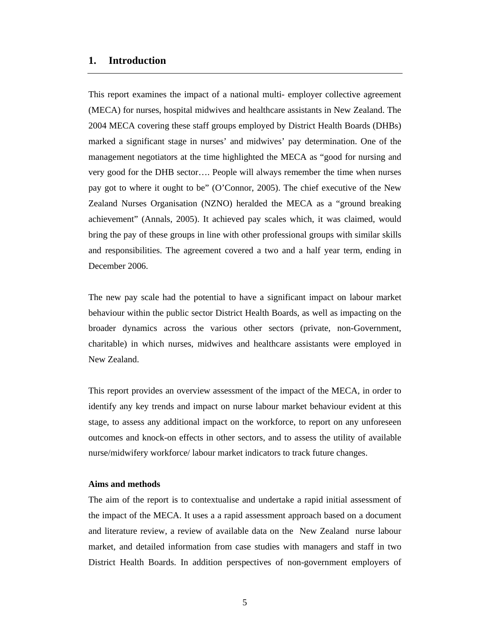#### **1. Introduction**

This report examines the impact of a national multi- employer collective agreement (MECA) for nurses, hospital midwives and healthcare assistants in New Zealand. The 2004 MECA covering these staff groups employed by District Health Boards (DHBs) marked a significant stage in nurses' and midwives' pay determination. One of the management negotiators at the time highlighted the MECA as "good for nursing and very good for the DHB sector…. People will always remember the time when nurses pay got to where it ought to be" (O'Connor, 2005). The chief executive of the New Zealand Nurses Organisation (NZNO) heralded the MECA as a "ground breaking achievement" (Annals, 2005). It achieved pay scales which, it was claimed, would bring the pay of these groups in line with other professional groups with similar skills and responsibilities. The agreement covered a two and a half year term, ending in December 2006.

The new pay scale had the potential to have a significant impact on labour market behaviour within the public sector District Health Boards, as well as impacting on the broader dynamics across the various other sectors (private, non-Government, charitable) in which nurses, midwives and healthcare assistants were employed in New Zealand.

This report provides an overview assessment of the impact of the MECA, in order to identify any key trends and impact on nurse labour market behaviour evident at this stage, to assess any additional impact on the workforce, to report on any unforeseen outcomes and knock-on effects in other sectors, and to assess the utility of available nurse/midwifery workforce/ labour market indicators to track future changes.

#### **Aims and methods**

The aim of the report is to contextualise and undertake a rapid initial assessment of the impact of the MECA. It uses a a rapid assessment approach based on a document and literature review, a review of available data on the New Zealand nurse labour market, and detailed information from case studies with managers and staff in two District Health Boards. In addition perspectives of non-government employers of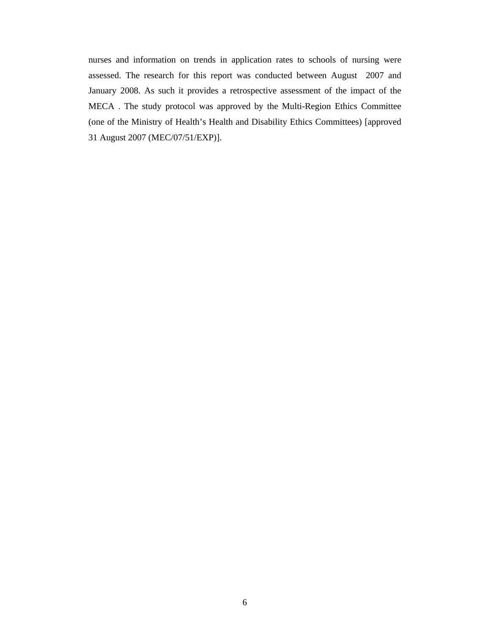nurses and information on trends in application rates to schools of nursing were assessed. The research for this report was conducted between August 2007 and January 2008. As such it provides a retrospective assessment of the impact of the MECA . The study protocol was approved by the Multi-Region Ethics Committee (one of the Ministry of Health's Health and Disability Ethics Committees) [approved 31 August 2007 (MEC/07/51/EXP)].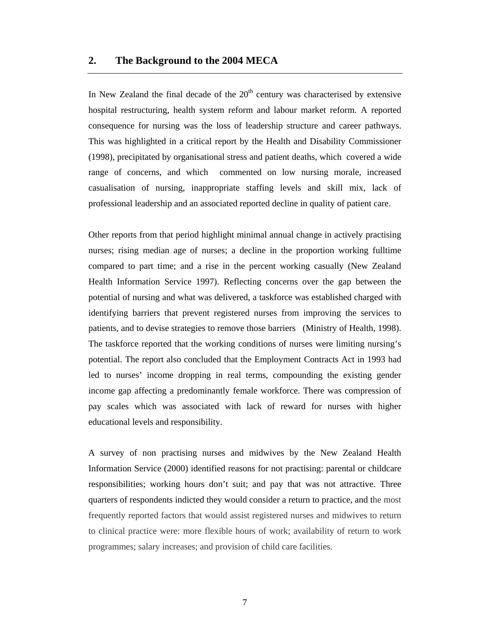#### **2. The Background to the 2004 MECA**

In New Zealand the final decade of the  $20<sup>th</sup>$  century was characterised by extensive hospital restructuring, health system reform and labour market reform. A reported consequence for nursing was the loss of leadership structure and career pathways. This was highlighted in a critical report by the Health and Disability Commissioner (1998), precipitated by organisational stress and patient deaths, which covered a wide range of concerns, and which commented on low nursing morale, increased casualisation of nursing, inappropriate staffing levels and skill mix, lack of professional leadership and an associated reported decline in quality of patient care.

Other reports from that period highlight minimal annual change in actively practising nurses; rising median age of nurses; a decline in the proportion working fulltime compared to part time; and a rise in the percent working casually (New Zealand Health Information Service 1997). Reflecting concerns over the gap between the potential of nursing and what was delivered, a taskforce was established charged with identifying barriers that prevent registered nurses from improving the services to patients, and to devise strategies to remove those barriers (Ministry of Health, 1998). The taskforce reported that the working conditions of nurses were limiting nursing's potential. The report also concluded that the Employment Contracts Act in 1993 had led to nurses' income dropping in real terms, compounding the existing gender income gap affecting a predominantly female workforce. There was compression of pay scales which was associated with lack of reward for nurses with higher educational levels and responsibility.

A survey of non practising nurses and midwives by the New Zealand Health Information Service (2000) identified reasons for not practising: parental or childcare responsibilities; working hours don't suit; and pay that was not attractive. Three quarters of respondents indicted they would consider a return to practice, and the most frequently reported factors that would assist registered nurses and midwives to return to clinical practice were: more flexible hours of work; availability of return to work programmes; salary increases; and provision of child care facilities.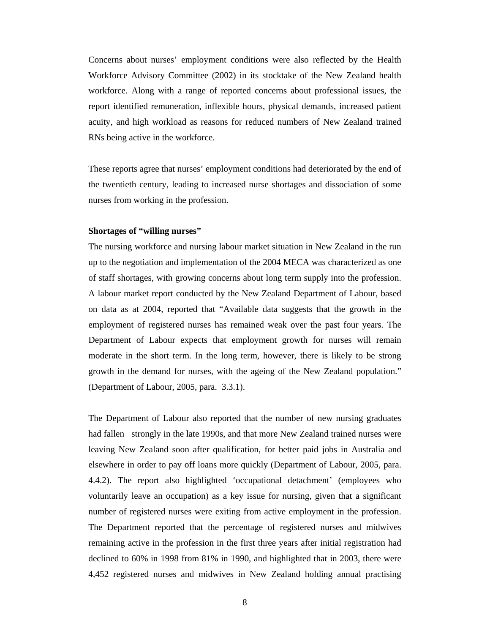Concerns about nurses' employment conditions were also reflected by the Health Workforce Advisory Committee (2002) in its stocktake of the New Zealand health workforce. Along with a range of reported concerns about professional issues, the report identified remuneration, inflexible hours, physical demands, increased patient acuity, and high workload as reasons for reduced numbers of New Zealand trained RNs being active in the workforce.

These reports agree that nurses' employment conditions had deteriorated by the end of the twentieth century, leading to increased nurse shortages and dissociation of some nurses from working in the profession.

#### **Shortages of "willing nurses"**

The nursing workforce and nursing labour market situation in New Zealand in the run up to the negotiation and implementation of the 2004 MECA was characterized as one of staff shortages, with growing concerns about long term supply into the profession. A labour market report conducted by the New Zealand Department of Labour, based on data as at 2004, reported that "Available data suggests that the growth in the employment of registered nurses has remained weak over the past four years. The Department of Labour expects that employment growth for nurses will remain moderate in the short term. In the long term, however, there is likely to be strong growth in the demand for nurses, with the ageing of the New Zealand population." (Department of Labour, 2005, para. 3.3.1).

The Department of Labour also reported that the number of new nursing graduates had fallen strongly in the late 1990s, and that more New Zealand trained nurses were leaving New Zealand soon after qualification, for better paid jobs in Australia and elsewhere in order to pay off loans more quickly (Department of Labour, 2005, para. 4.4.2). The report also highlighted 'occupational detachment' (employees who voluntarily leave an occupation) as a key issue for nursing, given that a significant number of registered nurses were exiting from active employment in the profession. The Department reported that the percentage of registered nurses and midwives remaining active in the profession in the first three years after initial registration had declined to 60% in 1998 from 81% in 1990, and highlighted that in 2003, there were 4,452 registered nurses and midwives in New Zealand holding annual practising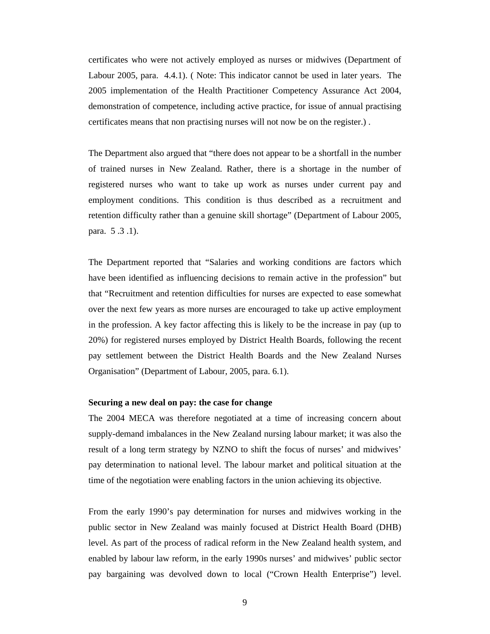certificates who were not actively employed as nurses or midwives (Department of Labour 2005, para. 4.4.1). ( Note: This indicator cannot be used in later years. The 2005 implementation of the Health Practitioner Competency Assurance Act 2004, demonstration of competence, including active practice, for issue of annual practising certificates means that non practising nurses will not now be on the register.) .

The Department also argued that "there does not appear to be a shortfall in the number of trained nurses in New Zealand. Rather, there is a shortage in the number of registered nurses who want to take up work as nurses under current pay and employment conditions. This condition is thus described as a recruitment and retention difficulty rather than a genuine skill shortage" (Department of Labour 2005, para. 5 .3 .1).

The Department reported that "Salaries and working conditions are factors which have been identified as influencing decisions to remain active in the profession" but that "Recruitment and retention difficulties for nurses are expected to ease somewhat over the next few years as more nurses are encouraged to take up active employment in the profession. A key factor affecting this is likely to be the increase in pay (up to 20%) for registered nurses employed by District Health Boards, following the recent pay settlement between the District Health Boards and the New Zealand Nurses Organisation" (Department of Labour, 2005, para. 6.1).

#### **Securing a new deal on pay: the case for change**

The 2004 MECA was therefore negotiated at a time of increasing concern about supply-demand imbalances in the New Zealand nursing labour market; it was also the result of a long term strategy by NZNO to shift the focus of nurses' and midwives' pay determination to national level. The labour market and political situation at the time of the negotiation were enabling factors in the union achieving its objective.

From the early 1990's pay determination for nurses and midwives working in the public sector in New Zealand was mainly focused at District Health Board (DHB) level. As part of the process of radical reform in the New Zealand health system, and enabled by labour law reform, in the early 1990s nurses' and midwives' public sector pay bargaining was devolved down to local ("Crown Health Enterprise") level.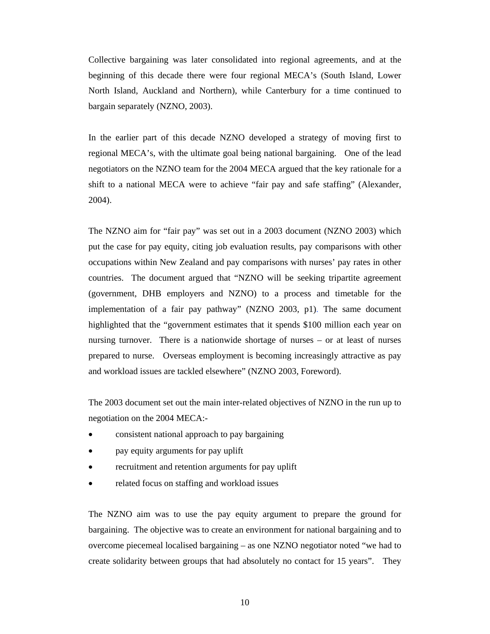Collective bargaining was later consolidated into regional agreements, and at the beginning of this decade there were four regional MECA's (South Island, Lower North Island, Auckland and Northern), while Canterbury for a time continued to bargain separately (NZNO, 2003).

In the earlier part of this decade NZNO developed a strategy of moving first to regional MECA's, with the ultimate goal being national bargaining. One of the lead negotiators on the NZNO team for the 2004 MECA argued that the key rationale for a shift to a national MECA were to achieve "fair pay and safe staffing" (Alexander, 2004).

The NZNO aim for "fair pay" was set out in a 2003 document (NZNO 2003) which put the case for pay equity, citing job evaluation results, pay comparisons with other occupations within New Zealand and pay comparisons with nurses' pay rates in other countries. The document argued that "NZNO will be seeking tripartite agreement (government, DHB employers and NZNO) to a process and timetable for the implementation of a fair pay pathway" (NZNO 2003, p1). The same document highlighted that the "government estimates that it spends \$100 million each year on nursing turnover. There is a nationwide shortage of nurses – or at least of nurses prepared to nurse. Overseas employment is becoming increasingly attractive as pay and workload issues are tackled elsewhere" (NZNO 2003, Foreword).

The 2003 document set out the main inter-related objectives of NZNO in the run up to negotiation on the 2004 MECA:-

- consistent national approach to pay bargaining
- pay equity arguments for pay uplift
- recruitment and retention arguments for pay uplift
- related focus on staffing and workload issues

The NZNO aim was to use the pay equity argument to prepare the ground for bargaining. The objective was to create an environment for national bargaining and to overcome piecemeal localised bargaining – as one NZNO negotiator noted "we had to create solidarity between groups that had absolutely no contact for 15 years". They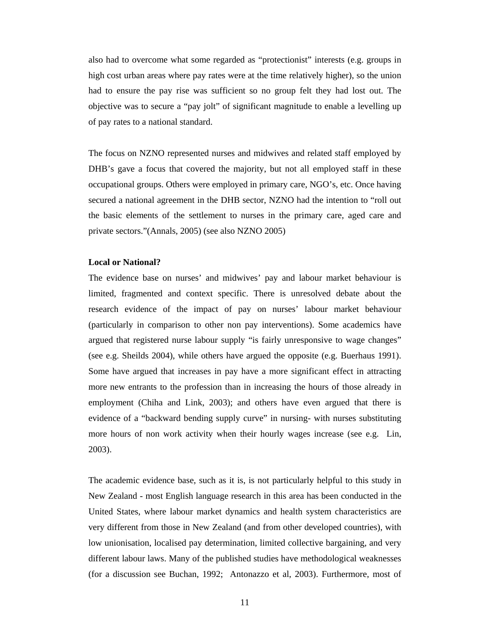also had to overcome what some regarded as "protectionist" interests (e.g. groups in high cost urban areas where pay rates were at the time relatively higher), so the union had to ensure the pay rise was sufficient so no group felt they had lost out. The objective was to secure a "pay jolt" of significant magnitude to enable a levelling up of pay rates to a national standard.

The focus on NZNO represented nurses and midwives and related staff employed by DHB's gave a focus that covered the majority, but not all employed staff in these occupational groups. Others were employed in primary care, NGO's, etc. Once having secured a national agreement in the DHB sector, NZNO had the intention to "roll out the basic elements of the settlement to nurses in the primary care, aged care and private sectors."(Annals, 2005) (see also NZNO 2005)

#### **Local or National?**

The evidence base on nurses' and midwives' pay and labour market behaviour is limited, fragmented and context specific. There is unresolved debate about the research evidence of the impact of pay on nurses' labour market behaviour (particularly in comparison to other non pay interventions). Some academics have argued that registered nurse labour supply "is fairly unresponsive to wage changes" (see e.g. Sheilds 2004), while others have argued the opposite (e.g. Buerhaus 1991). Some have argued that increases in pay have a more significant effect in attracting more new entrants to the profession than in increasing the hours of those already in employment (Chiha and Link, 2003); and others have even argued that there is evidence of a "backward bending supply curve" in nursing- with nurses substituting more hours of non work activity when their hourly wages increase (see e.g. Lin, 2003).

The academic evidence base, such as it is, is not particularly helpful to this study in New Zealand - most English language research in this area has been conducted in the United States, where labour market dynamics and health system characteristics are very different from those in New Zealand (and from other developed countries), with low unionisation, localised pay determination, limited collective bargaining, and very different labour laws. Many of the published studies have methodological weaknesses (for a discussion see Buchan, 1992; Antonazzo et al, 2003). Furthermore, most of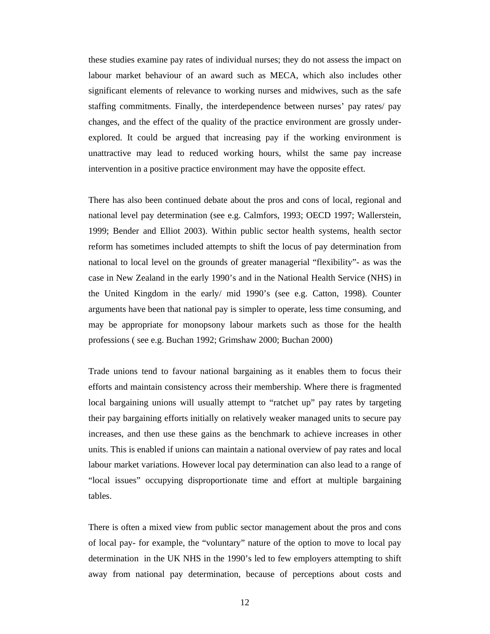these studies examine pay rates of individual nurses; they do not assess the impact on labour market behaviour of an award such as MECA, which also includes other significant elements of relevance to working nurses and midwives, such as the safe staffing commitments. Finally, the interdependence between nurses' pay rates/ pay changes, and the effect of the quality of the practice environment are grossly underexplored. It could be argued that increasing pay if the working environment is unattractive may lead to reduced working hours, whilst the same pay increase intervention in a positive practice environment may have the opposite effect.

There has also been continued debate about the pros and cons of local, regional and national level pay determination (see e.g. Calmfors, 1993; OECD 1997; Wallerstein, 1999; Bender and Elliot 2003). Within public sector health systems, health sector reform has sometimes included attempts to shift the locus of pay determination from national to local level on the grounds of greater managerial "flexibility"- as was the case in New Zealand in the early 1990's and in the National Health Service (NHS) in the United Kingdom in the early/ mid 1990's (see e.g. Catton, 1998). Counter arguments have been that national pay is simpler to operate, less time consuming, and may be appropriate for monopsony labour markets such as those for the health professions ( see e.g. Buchan 1992; Grimshaw 2000; Buchan 2000)

Trade unions tend to favour national bargaining as it enables them to focus their efforts and maintain consistency across their membership. Where there is fragmented local bargaining unions will usually attempt to "ratchet up" pay rates by targeting their pay bargaining efforts initially on relatively weaker managed units to secure pay increases, and then use these gains as the benchmark to achieve increases in other units. This is enabled if unions can maintain a national overview of pay rates and local labour market variations. However local pay determination can also lead to a range of "local issues" occupying disproportionate time and effort at multiple bargaining tables.

There is often a mixed view from public sector management about the pros and cons of local pay- for example, the "voluntary" nature of the option to move to local pay determination in the UK NHS in the 1990's led to few employers attempting to shift away from national pay determination, because of perceptions about costs and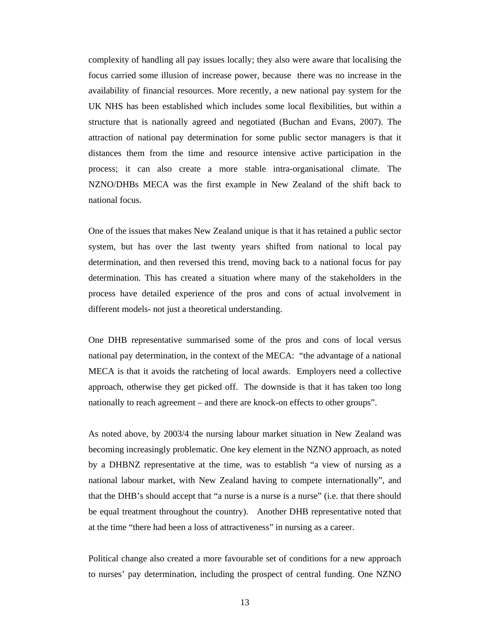complexity of handling all pay issues locally; they also were aware that localising the focus carried some illusion of increase power, because there was no increase in the availability of financial resources. More recently, a new national pay system for the UK NHS has been established which includes some local flexibilities, but within a structure that is nationally agreed and negotiated (Buchan and Evans, 2007). The attraction of national pay determination for some public sector managers is that it distances them from the time and resource intensive active participation in the process; it can also create a more stable intra-organisational climate. The NZNO/DHBs MECA was the first example in New Zealand of the shift back to national focus.

One of the issues that makes New Zealand unique is that it has retained a public sector system, but has over the last twenty years shifted from national to local pay determination, and then reversed this trend, moving back to a national focus for pay determination. This has created a situation where many of the stakeholders in the process have detailed experience of the pros and cons of actual involvement in different models- not just a theoretical understanding.

One DHB representative summarised some of the pros and cons of local versus national pay determination, in the context of the MECA: "the advantage of a national MECA is that it avoids the ratcheting of local awards. Employers need a collective approach, otherwise they get picked off. The downside is that it has taken too long nationally to reach agreement – and there are knock-on effects to other groups".

As noted above, by 2003/4 the nursing labour market situation in New Zealand was becoming increasingly problematic. One key element in the NZNO approach, as noted by a DHBNZ representative at the time, was to establish "a view of nursing as a national labour market, with New Zealand having to compete internationally", and that the DHB's should accept that "a nurse is a nurse is a nurse" (i.e. that there should be equal treatment throughout the country). Another DHB representative noted that at the time "there had been a loss of attractiveness" in nursing as a career.

Political change also created a more favourable set of conditions for a new approach to nurses' pay determination, including the prospect of central funding. One NZNO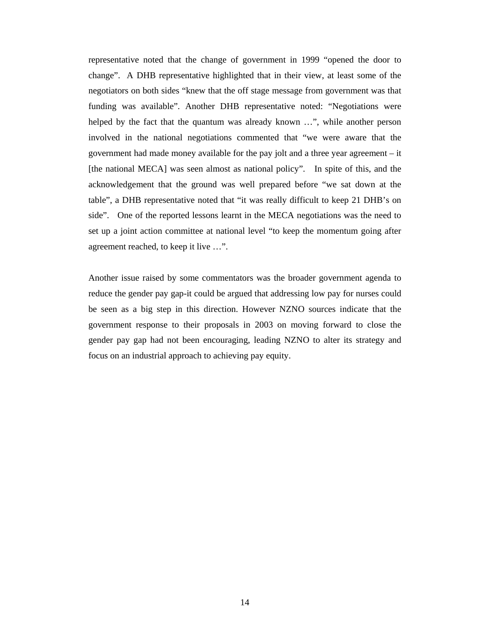representative noted that the change of government in 1999 "opened the door to change". A DHB representative highlighted that in their view, at least some of the negotiators on both sides "knew that the off stage message from government was that funding was available". Another DHB representative noted: "Negotiations were helped by the fact that the quantum was already known …", while another person involved in the national negotiations commented that "we were aware that the government had made money available for the pay jolt and a three year agreement – it [the national MECA] was seen almost as national policy". In spite of this, and the acknowledgement that the ground was well prepared before "we sat down at the table", a DHB representative noted that "it was really difficult to keep 21 DHB's on side". One of the reported lessons learnt in the MECA negotiations was the need to set up a joint action committee at national level "to keep the momentum going after agreement reached, to keep it live …".

Another issue raised by some commentators was the broader government agenda to reduce the gender pay gap-it could be argued that addressing low pay for nurses could be seen as a big step in this direction. However NZNO sources indicate that the government response to their proposals in 2003 on moving forward to close the gender pay gap had not been encouraging, leading NZNO to alter its strategy and focus on an industrial approach to achieving pay equity.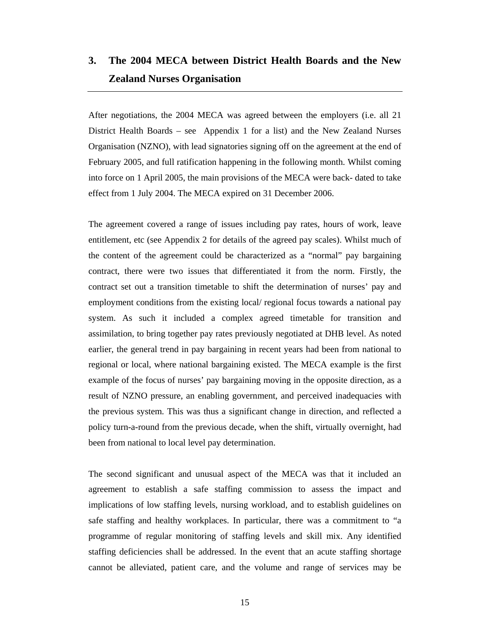### **3. The 2004 MECA between District Health Boards and the New Zealand Nurses Organisation**

After negotiations, the 2004 MECA was agreed between the employers (i.e. all 21 District Health Boards – see Appendix 1 for a list) and the New Zealand Nurses Organisation (NZNO), with lead signatories signing off on the agreement at the end of February 2005, and full ratification happening in the following month. Whilst coming into force on 1 April 2005, the main provisions of the MECA were back- dated to take effect from 1 July 2004. The MECA expired on 31 December 2006.

The agreement covered a range of issues including pay rates, hours of work, leave entitlement, etc (see Appendix 2 for details of the agreed pay scales). Whilst much of the content of the agreement could be characterized as a "normal" pay bargaining contract, there were two issues that differentiated it from the norm. Firstly, the contract set out a transition timetable to shift the determination of nurses' pay and employment conditions from the existing local/ regional focus towards a national pay system. As such it included a complex agreed timetable for transition and assimilation, to bring together pay rates previously negotiated at DHB level. As noted earlier, the general trend in pay bargaining in recent years had been from national to regional or local, where national bargaining existed. The MECA example is the first example of the focus of nurses' pay bargaining moving in the opposite direction, as a result of NZNO pressure, an enabling government, and perceived inadequacies with the previous system. This was thus a significant change in direction, and reflected a policy turn-a-round from the previous decade, when the shift, virtually overnight, had been from national to local level pay determination.

The second significant and unusual aspect of the MECA was that it included an agreement to establish a safe staffing commission to assess the impact and implications of low staffing levels, nursing workload, and to establish guidelines on safe staffing and healthy workplaces. In particular, there was a commitment to "a programme of regular monitoring of staffing levels and skill mix. Any identified staffing deficiencies shall be addressed. In the event that an acute staffing shortage cannot be alleviated, patient care, and the volume and range of services may be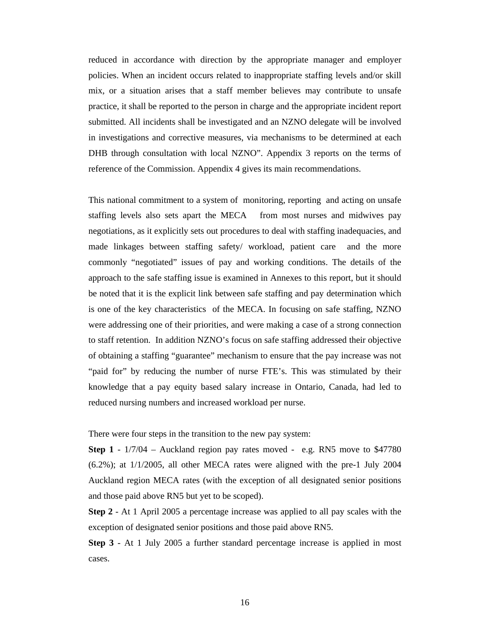reduced in accordance with direction by the appropriate manager and employer policies. When an incident occurs related to inappropriate staffing levels and/or skill mix, or a situation arises that a staff member believes may contribute to unsafe practice, it shall be reported to the person in charge and the appropriate incident report submitted. All incidents shall be investigated and an NZNO delegate will be involved in investigations and corrective measures, via mechanisms to be determined at each DHB through consultation with local NZNO". Appendix 3 reports on the terms of reference of the Commission. Appendix 4 gives its main recommendations.

This national commitment to a system of monitoring, reporting and acting on unsafe staffing levels also sets apart the MECA from most nurses and midwives pay negotiations, as it explicitly sets out procedures to deal with staffing inadequacies, and made linkages between staffing safety/ workload, patient care and the more commonly "negotiated" issues of pay and working conditions. The details of the approach to the safe staffing issue is examined in Annexes to this report, but it should be noted that it is the explicit link between safe staffing and pay determination which is one of the key characteristics of the MECA. In focusing on safe staffing, NZNO were addressing one of their priorities, and were making a case of a strong connection to staff retention. In addition NZNO's focus on safe staffing addressed their objective of obtaining a staffing "guarantee" mechanism to ensure that the pay increase was not "paid for" by reducing the number of nurse FTE's. This was stimulated by their knowledge that a pay equity based salary increase in Ontario, Canada, had led to reduced nursing numbers and increased workload per nurse.

There were four steps in the transition to the new pay system:

**Step 1** - 1/7/04 – Auckland region pay rates moved - e.g. RN5 move to \$47780 (6.2%); at 1/1/2005, all other MECA rates were aligned with the pre-1 July 2004 Auckland region MECA rates (with the exception of all designated senior positions and those paid above RN5 but yet to be scoped).

**Step 2** - At 1 April 2005 a percentage increase was applied to all pay scales with the exception of designated senior positions and those paid above RN5.

**Step 3** - At 1 July 2005 a further standard percentage increase is applied in most cases.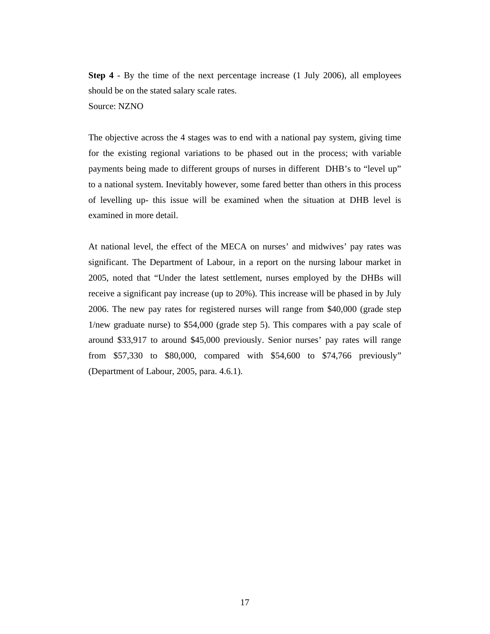**Step 4** - By the time of the next percentage increase (1 July 2006), all employees should be on the stated salary scale rates. Source: NZNO

The objective across the 4 stages was to end with a national pay system, giving time for the existing regional variations to be phased out in the process; with variable payments being made to different groups of nurses in different DHB's to "level up" to a national system. Inevitably however, some fared better than others in this process of levelling up- this issue will be examined when the situation at DHB level is examined in more detail.

At national level, the effect of the MECA on nurses' and midwives' pay rates was significant. The Department of Labour, in a report on the nursing labour market in 2005, noted that "Under the latest settlement, nurses employed by the DHBs will receive a significant pay increase (up to 20%). This increase will be phased in by July 2006. The new pay rates for registered nurses will range from \$40,000 (grade step 1/new graduate nurse) to \$54,000 (grade step 5). This compares with a pay scale of around \$33,917 to around \$45,000 previously. Senior nurses' pay rates will range from \$57,330 to \$80,000, compared with \$54,600 to \$74,766 previously" (Department of Labour, 2005, para. 4.6.1).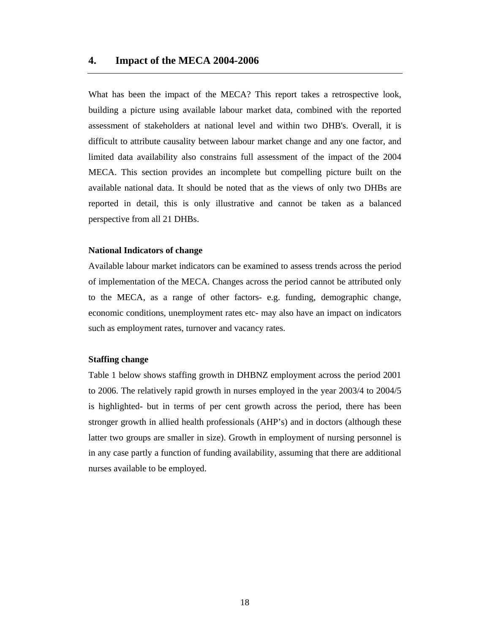#### **4. Impact of the MECA 2004-2006**

What has been the impact of the MECA? This report takes a retrospective look, building a picture using available labour market data, combined with the reported assessment of stakeholders at national level and within two DHB's. Overall, it is difficult to attribute causality between labour market change and any one factor, and limited data availability also constrains full assessment of the impact of the 2004 MECA. This section provides an incomplete but compelling picture built on the available national data. It should be noted that as the views of only two DHBs are reported in detail, this is only illustrative and cannot be taken as a balanced perspective from all 21 DHBs.

#### **National Indicators of change**

Available labour market indicators can be examined to assess trends across the period of implementation of the MECA. Changes across the period cannot be attributed only to the MECA, as a range of other factors- e.g. funding, demographic change, economic conditions, unemployment rates etc- may also have an impact on indicators such as employment rates, turnover and vacancy rates.

#### **Staffing change**

Table 1 below shows staffing growth in DHBNZ employment across the period 2001 to 2006. The relatively rapid growth in nurses employed in the year 2003/4 to 2004/5 is highlighted- but in terms of per cent growth across the period, there has been stronger growth in allied health professionals (AHP's) and in doctors (although these latter two groups are smaller in size). Growth in employment of nursing personnel is in any case partly a function of funding availability, assuming that there are additional nurses available to be employed.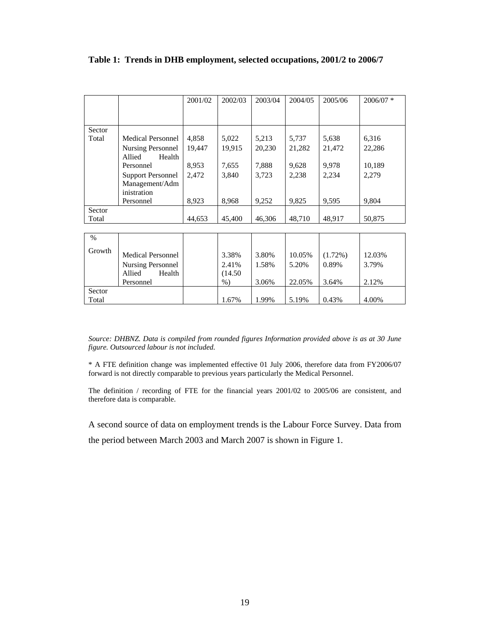|        |                                                                          | 2001/02 | 2002/03                   | 2003/04        | 2004/05         | 2005/06             | $2006/07$ *     |
|--------|--------------------------------------------------------------------------|---------|---------------------------|----------------|-----------------|---------------------|-----------------|
|        |                                                                          |         |                           |                |                 |                     |                 |
| Sector |                                                                          |         |                           |                |                 |                     |                 |
| Total  | <b>Medical Personnel</b>                                                 | 4,858   | 5,022                     | 5,213          | 5,737           | 5,638               | 6,316           |
|        | Nursing Personnel<br>Allied<br>Health                                    | 19,447  | 19,915                    | 20,230         | 21,282          | 21,472              | 22,286          |
|        | Personnel                                                                | 8,953   | 7,655                     | 7,888          | 9,628           | 9,978               | 10,189          |
|        | <b>Support Personnel</b><br>Management/Adm                               | 2,472   | 3,840                     | 3,723          | 2,238           | 2,234               | 2,279           |
|        | inistration                                                              |         |                           |                |                 |                     |                 |
|        | Personnel                                                                | 8,923   | 8,968                     | 9,252          | 9,825           | 9,595               | 9,804           |
| Sector |                                                                          |         |                           |                |                 |                     |                 |
| Total  |                                                                          | 44,653  | 45,400                    | 46,306         | 48,710          | 48,917              | 50,875          |
|        |                                                                          |         |                           |                |                 |                     |                 |
| $\%$   |                                                                          |         |                           |                |                 |                     |                 |
| Growth | <b>Medical Personnel</b><br><b>Nursing Personnel</b><br>Allied<br>Health |         | 3.38%<br>2.41%<br>(14.50) | 3.80%<br>1.58% | 10.05%<br>5.20% | $(1.72\%)$<br>0.89% | 12.03%<br>3.79% |
|        | Personnel                                                                |         | $%$ )                     | 3.06%          | 22.05%          | 3.64%               | 2.12%           |
| Sector |                                                                          |         |                           |                |                 |                     |                 |
| Total  |                                                                          |         | 1.67%                     | 1.99%          | 5.19%           | 0.43%               | 4.00%           |

**Table 1: Trends in DHB employment, selected occupations, 2001/2 to 2006/7** 

*Source: DHBNZ. Data is compiled from rounded figures Information provided above is as at 30 June figure. Outsourced labour is not included.* 

\* A FTE definition change was implemented effective 01 July 2006, therefore data from FY2006/07 forward is not directly comparable to previous years particularly the Medical Personnel.

The definition / recording of FTE for the financial years 2001/02 to 2005/06 are consistent, and therefore data is comparable.

A second source of data on employment trends is the Labour Force Survey. Data from the period between March 2003 and March 2007 is shown in Figure 1.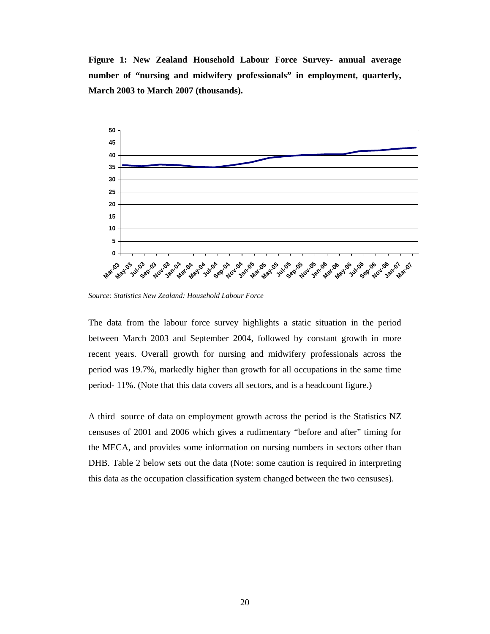**Figure 1: New Zealand Household Labour Force Survey- annual average number of "nursing and midwifery professionals" in employment, quarterly, March 2003 to March 2007 (thousands).** 



*Source: Statistics New Zealand: Household Labour Force* 

The data from the labour force survey highlights a static situation in the period between March 2003 and September 2004, followed by constant growth in more recent years. Overall growth for nursing and midwifery professionals across the period was 19.7%, markedly higher than growth for all occupations in the same time period- 11%. (Note that this data covers all sectors, and is a headcount figure.)

A third source of data on employment growth across the period is the Statistics NZ censuses of 2001 and 2006 which gives a rudimentary "before and after" timing for the MECA, and provides some information on nursing numbers in sectors other than DHB. Table 2 below sets out the data (Note: some caution is required in interpreting this data as the occupation classification system changed between the two censuses).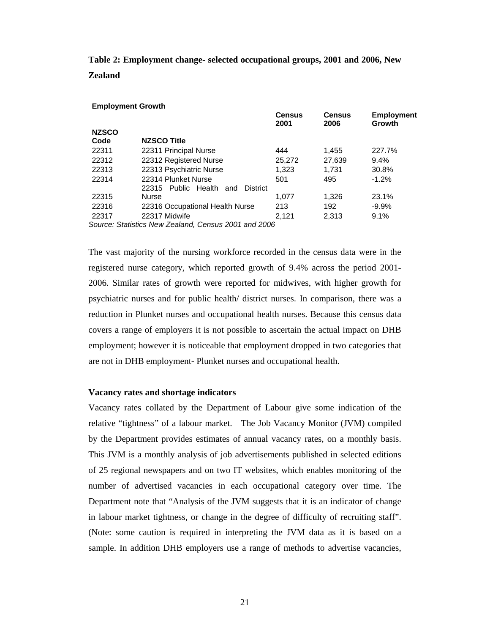**Table 2: Employment change- selected occupational groups, 2001 and 2006, New Zealand** 

|              | <b>Employment Growth</b>                             |                       |                       |                             |
|--------------|------------------------------------------------------|-----------------------|-----------------------|-----------------------------|
|              |                                                      | <b>Census</b><br>2001 | <b>Census</b><br>2006 | <b>Employment</b><br>Growth |
| <b>NZSCO</b> |                                                      |                       |                       |                             |
| Code         | NZSCO Title                                          |                       |                       |                             |
| 22311        | 22311 Principal Nurse                                | 444                   | 1.455                 | 227.7%                      |
| 22312        | 22312 Registered Nurse                               | 25,272                | 27,639                | 9.4%                        |
| 22313        | 22313 Psychiatric Nurse                              | 1.323                 | 1.731                 | 30.8%                       |
| 22314        | 22314 Plunket Nurse                                  | 501                   | 495                   | $-1.2%$                     |
|              | 22315 Public Health and<br><b>District</b>           |                       |                       |                             |
| 22315        | <b>Nurse</b>                                         | 1.077                 | 1.326                 | 23.1%                       |
| 22316        | 22316 Occupational Health Nurse                      | 213                   | 192                   | $-9.9%$                     |
| 22317        | 22317 Midwife                                        | 2.121                 | 2.313                 | 9.1%                        |
|              | Source: Statistics New Zealand, Census 2001 and 2006 |                       |                       |                             |

The vast majority of the nursing workforce recorded in the census data were in the registered nurse category, which reported growth of 9.4% across the period 2001- 2006. Similar rates of growth were reported for midwives, with higher growth for psychiatric nurses and for public health/ district nurses. In comparison, there was a reduction in Plunket nurses and occupational health nurses. Because this census data covers a range of employers it is not possible to ascertain the actual impact on DHB employment; however it is noticeable that employment dropped in two categories that are not in DHB employment- Plunket nurses and occupational health.

#### **Vacancy rates and shortage indicators**

Vacancy rates collated by the Department of Labour give some indication of the relative "tightness" of a labour market. The Job Vacancy Monitor (JVM) compiled by the Department provides estimates of annual vacancy rates, on a monthly basis. This JVM is a monthly analysis of job advertisements published in selected editions of 25 regional newspapers and on two IT websites, which enables monitoring of the number of advertised vacancies in each occupational category over time. The Department note that "Analysis of the JVM suggests that it is an indicator of change in labour market tightness, or change in the degree of difficulty of recruiting staff". (Note: some caution is required in interpreting the JVM data as it is based on a sample. In addition DHB employers use a range of methods to advertise vacancies,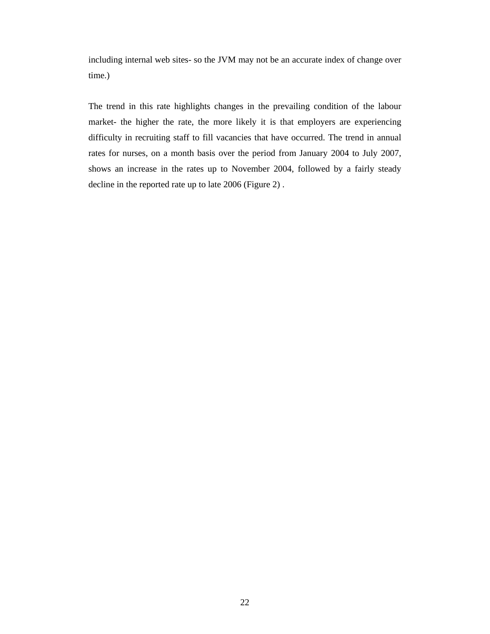including internal web sites- so the JVM may not be an accurate index of change over time.)

The trend in this rate highlights changes in the prevailing condition of the labour market- the higher the rate, the more likely it is that employers are experiencing difficulty in recruiting staff to fill vacancies that have occurred. The trend in annual rates for nurses, on a month basis over the period from January 2004 to July 2007, shows an increase in the rates up to November 2004, followed by a fairly steady decline in the reported rate up to late 2006 (Figure 2) .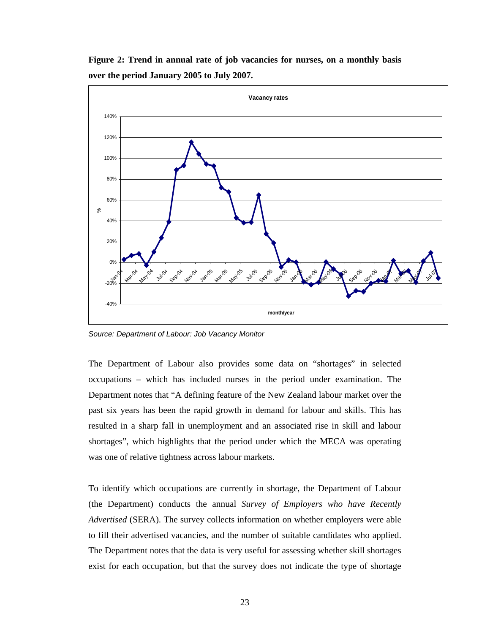**Figure 2: Trend in annual rate of job vacancies for nurses, on a monthly basis over the period January 2005 to July 2007.** 



*Source: Department of Labour: Job Vacancy Monitor* 

The Department of Labour also provides some data on "shortages" in selected occupations – which has included nurses in the period under examination. The Department notes that "A defining feature of the New Zealand labour market over the past six years has been the rapid growth in demand for labour and skills. This has resulted in a sharp fall in unemployment and an associated rise in skill and labour shortages", which highlights that the period under which the MECA was operating was one of relative tightness across labour markets.

To identify which occupations are currently in shortage, the Department of Labour (the Department) conducts the annual *Survey of Employers who have Recently Advertised* (SERA). The survey collects information on whether employers were able to fill their advertised vacancies, and the number of suitable candidates who applied. The Department notes that the data is very useful for assessing whether skill shortages exist for each occupation, but that the survey does not indicate the type of shortage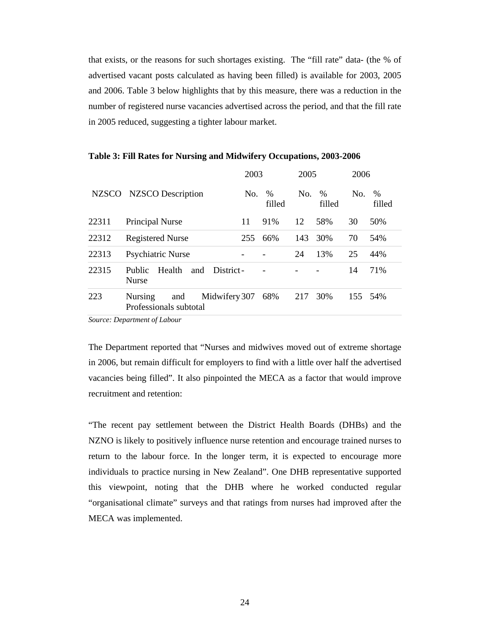that exists, or the reasons for such shortages existing. The "fill rate" data- (the % of advertised vacant posts calculated as having been filled) is available for 2003, 2005 and 2006. Table 3 below highlights that by this measure, there was a reduction in the number of registered nurse vacancies advertised across the period, and that the fill rate in 2005 reduced, suggesting a tighter labour market.

|              |                                                                  | 2003 |                         | 2005 |                | 2006 |                |
|--------------|------------------------------------------------------------------|------|-------------------------|------|----------------|------|----------------|
| <b>NZSCO</b> | <b>NZSCO</b> Description                                         | No.  | $\frac{0}{0}$<br>filled | No.  | $\%$<br>filled | No.  | $\%$<br>filled |
| 22311        | Principal Nurse                                                  | 11   | 91%                     | 12   | 58%            | 30   | 50%            |
| 22312        | <b>Registered Nurse</b>                                          | 255  | 66%                     | 143  | 30%            | 70   | 54%            |
| 22313        | Psychiatric Nurse                                                |      |                         | 24   | 13%            | 25   | 44%            |
| 22315        | Public<br>Health<br>District-<br>and<br><b>Nurse</b>             |      |                         |      |                | 14   | 71%            |
| 223          | <b>Nursing</b><br>and<br>Midwifery 307<br>Professionals subtotal |      | 68%                     | 217  | 30%            | 155  | 54%            |

**Table 3: Fill Rates for Nursing and Midwifery Occupations, 2003-2006** 

*Source: Department of Labour* 

The Department reported that "Nurses and midwives moved out of extreme shortage in 2006, but remain difficult for employers to find with a little over half the advertised vacancies being filled". It also pinpointed the MECA as a factor that would improve recruitment and retention:

"The recent pay settlement between the District Health Boards (DHBs) and the NZNO is likely to positively influence nurse retention and encourage trained nurses to return to the labour force. In the longer term, it is expected to encourage more individuals to practice nursing in New Zealand". One DHB representative supported this viewpoint, noting that the DHB where he worked conducted regular "organisational climate" surveys and that ratings from nurses had improved after the MECA was implemented.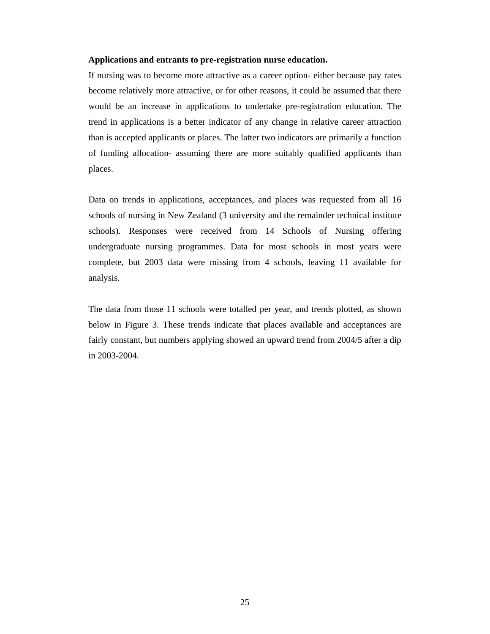#### **Applications and entrants to pre-registration nurse education.**

If nursing was to become more attractive as a career option- either because pay rates become relatively more attractive, or for other reasons, it could be assumed that there would be an increase in applications to undertake pre-registration education. The trend in applications is a better indicator of any change in relative career attraction than is accepted applicants or places. The latter two indicators are primarily a function of funding allocation- assuming there are more suitably qualified applicants than places.

Data on trends in applications, acceptances, and places was requested from all 16 schools of nursing in New Zealand (3 university and the remainder technical institute schools). Responses were received from 14 Schools of Nursing offering undergraduate nursing programmes. Data for most schools in most years were complete, but 2003 data were missing from 4 schools, leaving 11 available for analysis.

The data from those 11 schools were totalled per year, and trends plotted, as shown below in Figure 3. These trends indicate that places available and acceptances are fairly constant, but numbers applying showed an upward trend from 2004/5 after a dip in 2003-2004.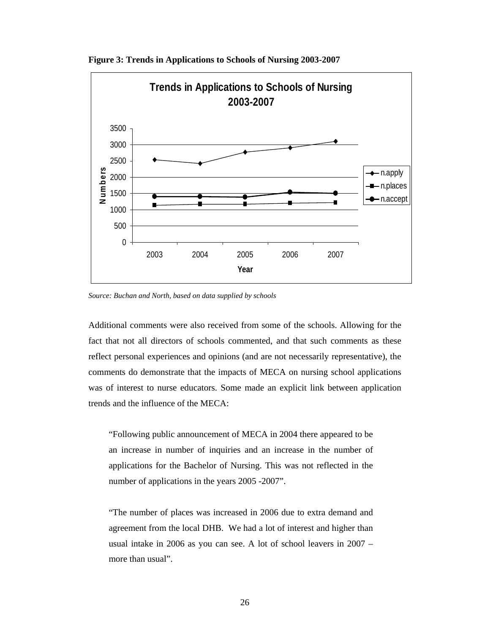

**Figure 3: Trends in Applications to Schools of Nursing 2003-2007** 

*Source: Buchan and North, based on data supplied by schools* 

Additional comments were also received from some of the schools. Allowing for the fact that not all directors of schools commented, and that such comments as these reflect personal experiences and opinions (and are not necessarily representative), the comments do demonstrate that the impacts of MECA on nursing school applications was of interest to nurse educators. Some made an explicit link between application trends and the influence of the MECA:

"Following public announcement of MECA in 2004 there appeared to be an increase in number of inquiries and an increase in the number of applications for the Bachelor of Nursing. This was not reflected in the number of applications in the years 2005 -2007".

"The number of places was increased in 2006 due to extra demand and agreement from the local DHB. We had a lot of interest and higher than usual intake in 2006 as you can see. A lot of school leavers in 2007 – more than usual".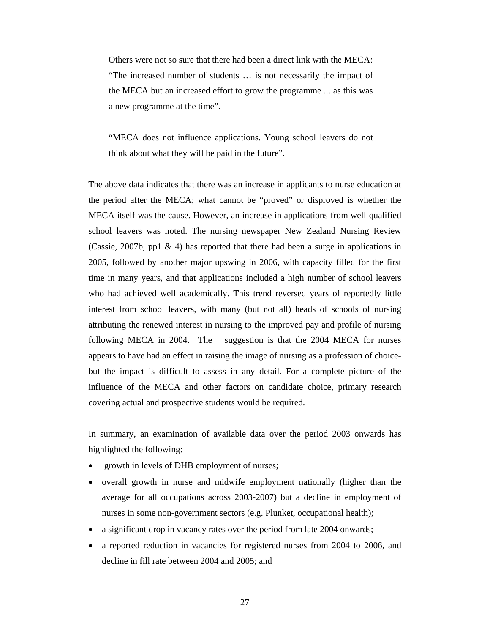Others were not so sure that there had been a direct link with the MECA: "The increased number of students … is not necessarily the impact of the MECA but an increased effort to grow the programme ... as this was a new programme at the time".

"MECA does not influence applications. Young school leavers do not think about what they will be paid in the future".

The above data indicates that there was an increase in applicants to nurse education at the period after the MECA; what cannot be "proved" or disproved is whether the MECA itself was the cause. However, an increase in applications from well-qualified school leavers was noted. The nursing newspaper New Zealand Nursing Review (Cassie, 2007b, pp1 & 4) has reported that there had been a surge in applications in 2005, followed by another major upswing in 2006, with capacity filled for the first time in many years, and that applications included a high number of school leavers who had achieved well academically. This trend reversed years of reportedly little interest from school leavers, with many (but not all) heads of schools of nursing attributing the renewed interest in nursing to the improved pay and profile of nursing following MECA in 2004. The suggestion is that the 2004 MECA for nurses appears to have had an effect in raising the image of nursing as a profession of choicebut the impact is difficult to assess in any detail. For a complete picture of the influence of the MECA and other factors on candidate choice, primary research covering actual and prospective students would be required.

In summary, an examination of available data over the period 2003 onwards has highlighted the following:

- growth in levels of DHB employment of nurses;
- overall growth in nurse and midwife employment nationally (higher than the average for all occupations across 2003-2007) but a decline in employment of nurses in some non-government sectors (e.g. Plunket, occupational health);
- a significant drop in vacancy rates over the period from late 2004 onwards;
- a reported reduction in vacancies for registered nurses from 2004 to 2006, and decline in fill rate between 2004 and 2005; and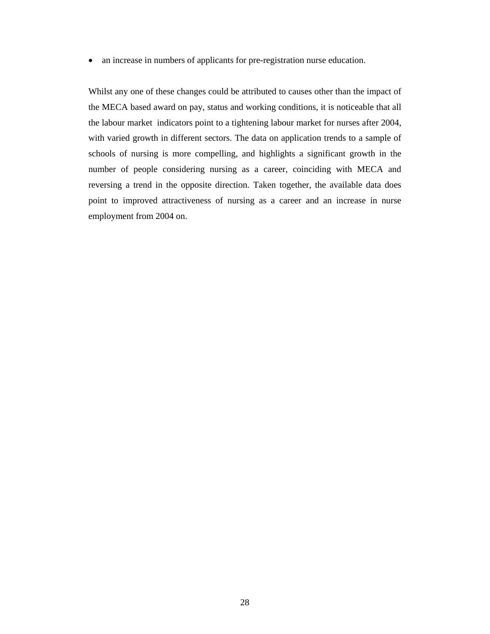• an increase in numbers of applicants for pre-registration nurse education.

Whilst any one of these changes could be attributed to causes other than the impact of the MECA based award on pay, status and working conditions, it is noticeable that all the labour market indicators point to a tightening labour market for nurses after 2004, with varied growth in different sectors. The data on application trends to a sample of schools of nursing is more compelling, and highlights a significant growth in the number of people considering nursing as a career, coinciding with MECA and reversing a trend in the opposite direction. Taken together, the available data does point to improved attractiveness of nursing as a career and an increase in nurse employment from 2004 on.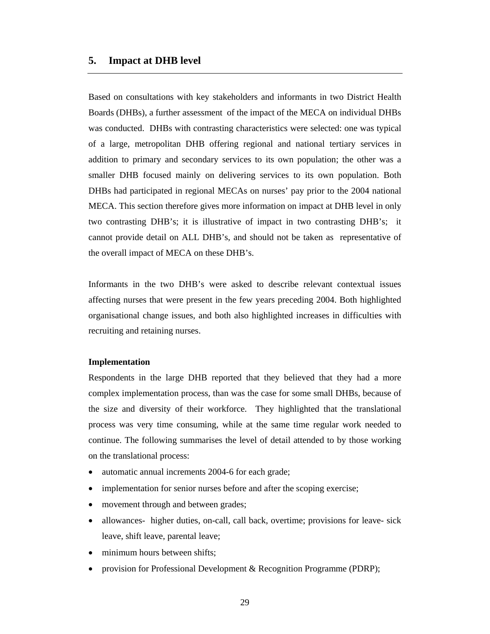#### **5. Impact at DHB level**

Based on consultations with key stakeholders and informants in two District Health Boards (DHBs), a further assessment of the impact of the MECA on individual DHBs was conducted. DHBs with contrasting characteristics were selected: one was typical of a large, metropolitan DHB offering regional and national tertiary services in addition to primary and secondary services to its own population; the other was a smaller DHB focused mainly on delivering services to its own population. Both DHBs had participated in regional MECAs on nurses' pay prior to the 2004 national MECA. This section therefore gives more information on impact at DHB level in only two contrasting DHB's; it is illustrative of impact in two contrasting DHB's; it cannot provide detail on ALL DHB's, and should not be taken as representative of the overall impact of MECA on these DHB's.

Informants in the two DHB's were asked to describe relevant contextual issues affecting nurses that were present in the few years preceding 2004. Both highlighted organisational change issues, and both also highlighted increases in difficulties with recruiting and retaining nurses.

#### **Implementation**

Respondents in the large DHB reported that they believed that they had a more complex implementation process, than was the case for some small DHBs, because of the size and diversity of their workforce. They highlighted that the translational process was very time consuming, while at the same time regular work needed to continue. The following summarises the level of detail attended to by those working on the translational process:

- automatic annual increments 2004-6 for each grade;
- implementation for senior nurses before and after the scoping exercise;
- movement through and between grades;
- allowances- higher duties, on-call, call back, overtime; provisions for leave- sick leave, shift leave, parental leave;
- minimum hours between shifts;
- provision for Professional Development & Recognition Programme (PDRP);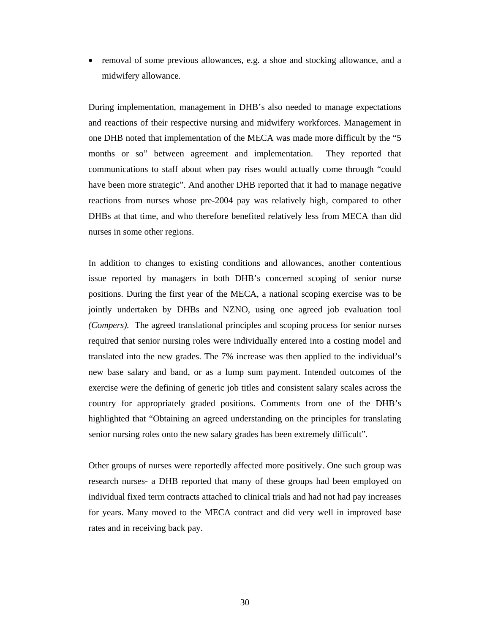• removal of some previous allowances, e.g. a shoe and stocking allowance, and a midwifery allowance.

During implementation, management in DHB's also needed to manage expectations and reactions of their respective nursing and midwifery workforces. Management in one DHB noted that implementation of the MECA was made more difficult by the "5 months or so" between agreement and implementation. They reported that communications to staff about when pay rises would actually come through "could have been more strategic". And another DHB reported that it had to manage negative reactions from nurses whose pre-2004 pay was relatively high, compared to other DHBs at that time, and who therefore benefited relatively less from MECA than did nurses in some other regions.

In addition to changes to existing conditions and allowances, another contentious issue reported by managers in both DHB's concerned scoping of senior nurse positions. During the first year of the MECA, a national scoping exercise was to be jointly undertaken by DHBs and NZNO, using one agreed job evaluation tool *(Compers).* The agreed translational principles and scoping process for senior nurses required that senior nursing roles were individually entered into a costing model and translated into the new grades. The 7% increase was then applied to the individual's new base salary and band, or as a lump sum payment. Intended outcomes of the exercise were the defining of generic job titles and consistent salary scales across the country for appropriately graded positions. Comments from one of the DHB's highlighted that "Obtaining an agreed understanding on the principles for translating senior nursing roles onto the new salary grades has been extremely difficult".

Other groups of nurses were reportedly affected more positively. One such group was research nurses- a DHB reported that many of these groups had been employed on individual fixed term contracts attached to clinical trials and had not had pay increases for years. Many moved to the MECA contract and did very well in improved base rates and in receiving back pay.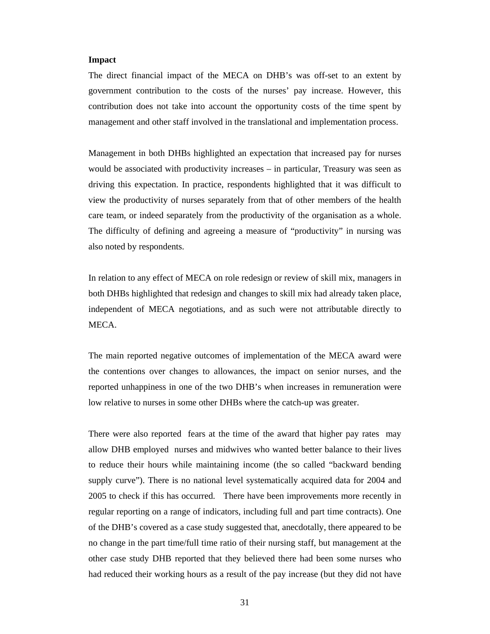#### **Impact**

The direct financial impact of the MECA on DHB's was off-set to an extent by government contribution to the costs of the nurses' pay increase. However, this contribution does not take into account the opportunity costs of the time spent by management and other staff involved in the translational and implementation process.

Management in both DHBs highlighted an expectation that increased pay for nurses would be associated with productivity increases – in particular, Treasury was seen as driving this expectation. In practice, respondents highlighted that it was difficult to view the productivity of nurses separately from that of other members of the health care team, or indeed separately from the productivity of the organisation as a whole. The difficulty of defining and agreeing a measure of "productivity" in nursing was also noted by respondents.

In relation to any effect of MECA on role redesign or review of skill mix, managers in both DHBs highlighted that redesign and changes to skill mix had already taken place, independent of MECA negotiations, and as such were not attributable directly to MECA.

The main reported negative outcomes of implementation of the MECA award were the contentions over changes to allowances, the impact on senior nurses, and the reported unhappiness in one of the two DHB's when increases in remuneration were low relative to nurses in some other DHBs where the catch-up was greater.

There were also reported fears at the time of the award that higher pay rates may allow DHB employed nurses and midwives who wanted better balance to their lives to reduce their hours while maintaining income (the so called "backward bending supply curve"). There is no national level systematically acquired data for 2004 and 2005 to check if this has occurred. There have been improvements more recently in regular reporting on a range of indicators, including full and part time contracts). One of the DHB's covered as a case study suggested that, anecdotally, there appeared to be no change in the part time/full time ratio of their nursing staff, but management at the other case study DHB reported that they believed there had been some nurses who had reduced their working hours as a result of the pay increase (but they did not have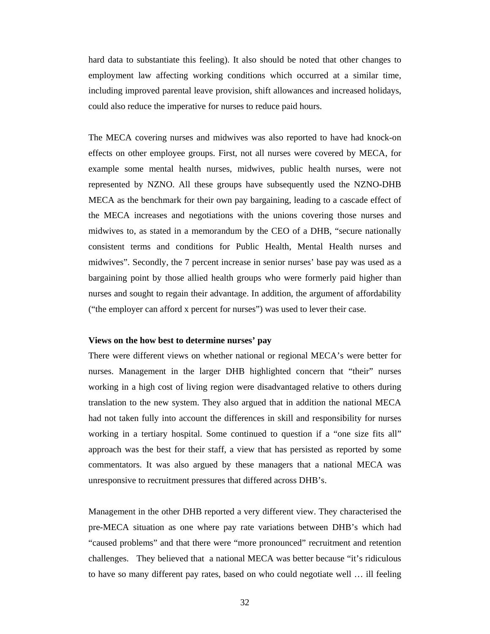hard data to substantiate this feeling). It also should be noted that other changes to employment law affecting working conditions which occurred at a similar time, including improved parental leave provision, shift allowances and increased holidays, could also reduce the imperative for nurses to reduce paid hours.

The MECA covering nurses and midwives was also reported to have had knock-on effects on other employee groups. First, not all nurses were covered by MECA, for example some mental health nurses, midwives, public health nurses, were not represented by NZNO. All these groups have subsequently used the NZNO-DHB MECA as the benchmark for their own pay bargaining, leading to a cascade effect of the MECA increases and negotiations with the unions covering those nurses and midwives to, as stated in a memorandum by the CEO of a DHB, "secure nationally consistent terms and conditions for Public Health, Mental Health nurses and midwives". Secondly, the 7 percent increase in senior nurses' base pay was used as a bargaining point by those allied health groups who were formerly paid higher than nurses and sought to regain their advantage. In addition, the argument of affordability ("the employer can afford x percent for nurses") was used to lever their case.

#### **Views on the how best to determine nurses' pay**

There were different views on whether national or regional MECA's were better for nurses. Management in the larger DHB highlighted concern that "their" nurses working in a high cost of living region were disadvantaged relative to others during translation to the new system. They also argued that in addition the national MECA had not taken fully into account the differences in skill and responsibility for nurses working in a tertiary hospital. Some continued to question if a "one size fits all" approach was the best for their staff, a view that has persisted as reported by some commentators. It was also argued by these managers that a national MECA was unresponsive to recruitment pressures that differed across DHB's.

Management in the other DHB reported a very different view. They characterised the pre-MECA situation as one where pay rate variations between DHB's which had "caused problems" and that there were "more pronounced" recruitment and retention challenges. They believed that a national MECA was better because "it's ridiculous to have so many different pay rates, based on who could negotiate well … ill feeling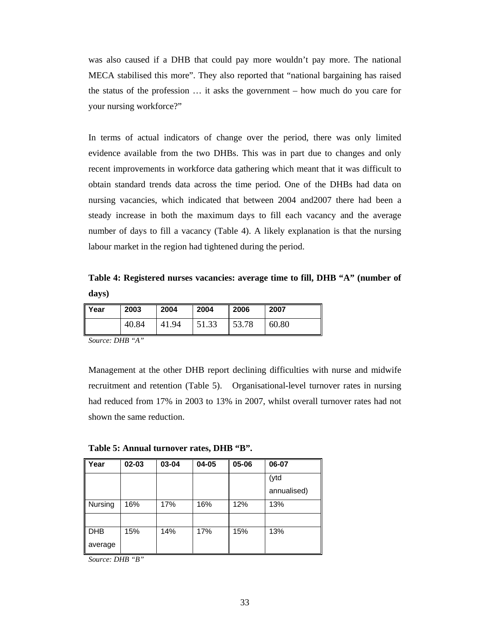was also caused if a DHB that could pay more wouldn't pay more. The national MECA stabilised this more". They also reported that "national bargaining has raised the status of the profession … it asks the government – how much do you care for your nursing workforce?"

In terms of actual indicators of change over the period, there was only limited evidence available from the two DHBs. This was in part due to changes and only recent improvements in workforce data gathering which meant that it was difficult to obtain standard trends data across the time period. One of the DHBs had data on nursing vacancies, which indicated that between 2004 and2007 there had been a steady increase in both the maximum days to fill each vacancy and the average number of days to fill a vacancy (Table 4). A likely explanation is that the nursing labour market in the region had tightened during the period.

**Table 4: Registered nurses vacancies: average time to fill, DHB "A" (number of days)** 

| Year | 2003  | 2004  | 2004  | 2006  | 2007  |
|------|-------|-------|-------|-------|-------|
|      | 40.84 | 41.94 | 51.33 | 53.78 | 60.80 |

*Source: DHB "A"* 

Management at the other DHB report declining difficulties with nurse and midwife recruitment and retention (Table 5). Organisational-level turnover rates in nursing had reduced from 17% in 2003 to 13% in 2007, whilst overall turnover rates had not shown the same reduction.

**Table 5: Annual turnover rates, DHB "B".** 

| Year       | $02 - 03$ | 03-04 | 04-05 | 05-06 | 06-07       |
|------------|-----------|-------|-------|-------|-------------|
|            |           |       |       |       | (ytd        |
|            |           |       |       |       | annualised) |
| Nursing    | 16%       | 17%   | 16%   | 12%   | 13%         |
|            |           |       |       |       |             |
| <b>DHB</b> | 15%       | 14%   | 17%   | 15%   | 13%         |
| average    |           |       |       |       |             |

*Source: DHB "B"*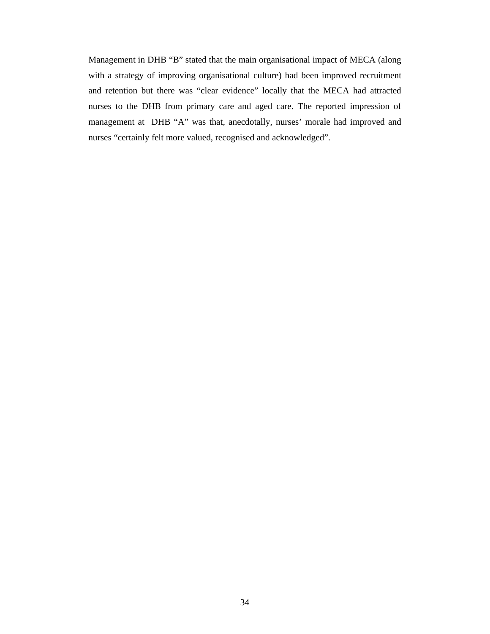Management in DHB "B" stated that the main organisational impact of MECA (along with a strategy of improving organisational culture) had been improved recruitment and retention but there was "clear evidence" locally that the MECA had attracted nurses to the DHB from primary care and aged care. The reported impression of management at DHB "A" was that, anecdotally, nurses' morale had improved and nurses "certainly felt more valued, recognised and acknowledged".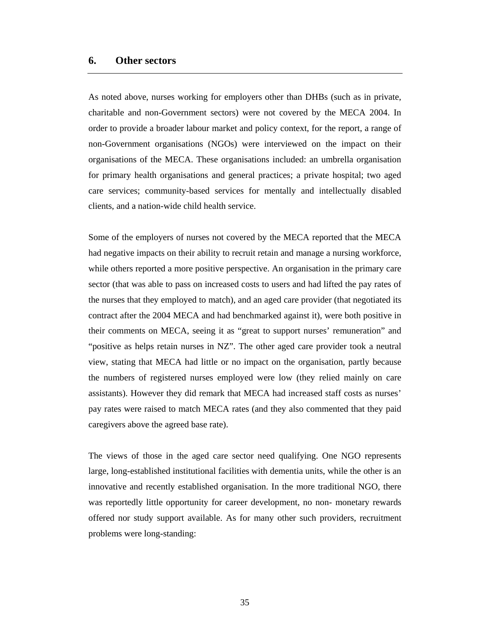#### **6. Other sectors**

As noted above, nurses working for employers other than DHBs (such as in private, charitable and non-Government sectors) were not covered by the MECA 2004. In order to provide a broader labour market and policy context, for the report, a range of non-Government organisations (NGOs) were interviewed on the impact on their organisations of the MECA. These organisations included: an umbrella organisation for primary health organisations and general practices; a private hospital; two aged care services; community-based services for mentally and intellectually disabled clients, and a nation-wide child health service.

Some of the employers of nurses not covered by the MECA reported that the MECA had negative impacts on their ability to recruit retain and manage a nursing workforce, while others reported a more positive perspective. An organisation in the primary care sector (that was able to pass on increased costs to users and had lifted the pay rates of the nurses that they employed to match), and an aged care provider (that negotiated its contract after the 2004 MECA and had benchmarked against it), were both positive in their comments on MECA, seeing it as "great to support nurses' remuneration" and "positive as helps retain nurses in NZ". The other aged care provider took a neutral view, stating that MECA had little or no impact on the organisation, partly because the numbers of registered nurses employed were low (they relied mainly on care assistants). However they did remark that MECA had increased staff costs as nurses' pay rates were raised to match MECA rates (and they also commented that they paid caregivers above the agreed base rate).

The views of those in the aged care sector need qualifying. One NGO represents large, long-established institutional facilities with dementia units, while the other is an innovative and recently established organisation. In the more traditional NGO, there was reportedly little opportunity for career development, no non- monetary rewards offered nor study support available. As for many other such providers, recruitment problems were long-standing: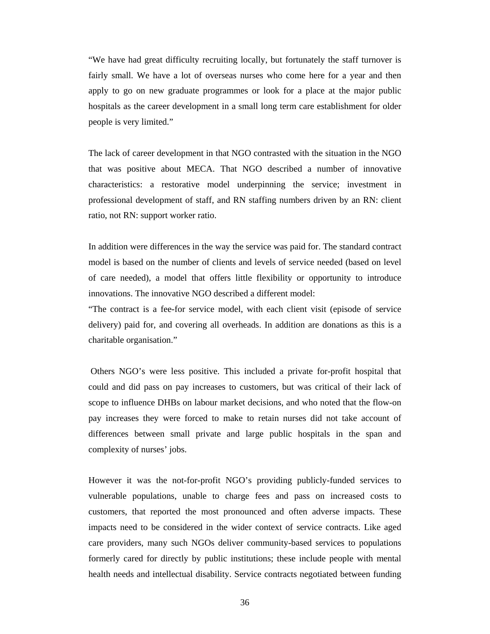"We have had great difficulty recruiting locally, but fortunately the staff turnover is fairly small. We have a lot of overseas nurses who come here for a year and then apply to go on new graduate programmes or look for a place at the major public hospitals as the career development in a small long term care establishment for older people is very limited."

The lack of career development in that NGO contrasted with the situation in the NGO that was positive about MECA. That NGO described a number of innovative characteristics: a restorative model underpinning the service; investment in professional development of staff, and RN staffing numbers driven by an RN: client ratio, not RN: support worker ratio.

In addition were differences in the way the service was paid for. The standard contract model is based on the number of clients and levels of service needed (based on level of care needed), a model that offers little flexibility or opportunity to introduce innovations. The innovative NGO described a different model:

"The contract is a fee-for service model, with each client visit (episode of service delivery) paid for, and covering all overheads. In addition are donations as this is a charitable organisation."

 Others NGO's were less positive. This included a private for-profit hospital that could and did pass on pay increases to customers, but was critical of their lack of scope to influence DHBs on labour market decisions, and who noted that the flow-on pay increases they were forced to make to retain nurses did not take account of differences between small private and large public hospitals in the span and complexity of nurses' jobs.

However it was the not-for-profit NGO's providing publicly-funded services to vulnerable populations, unable to charge fees and pass on increased costs to customers, that reported the most pronounced and often adverse impacts. These impacts need to be considered in the wider context of service contracts. Like aged care providers, many such NGOs deliver community-based services to populations formerly cared for directly by public institutions; these include people with mental health needs and intellectual disability. Service contracts negotiated between funding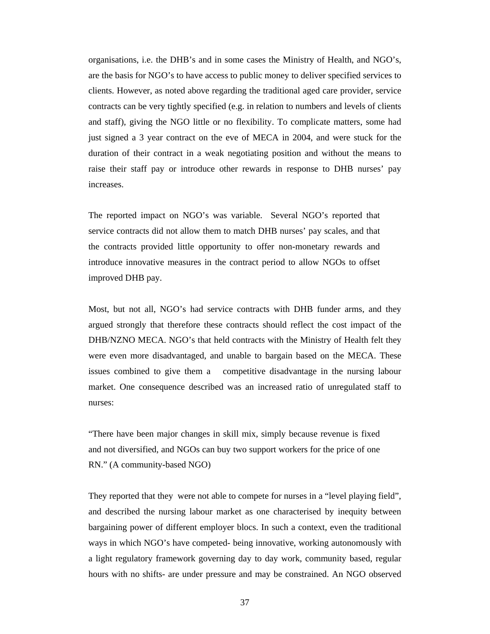organisations, i.e. the DHB's and in some cases the Ministry of Health, and NGO's, are the basis for NGO's to have access to public money to deliver specified services to clients. However, as noted above regarding the traditional aged care provider, service contracts can be very tightly specified (e.g. in relation to numbers and levels of clients and staff), giving the NGO little or no flexibility. To complicate matters, some had just signed a 3 year contract on the eve of MECA in 2004, and were stuck for the duration of their contract in a weak negotiating position and without the means to raise their staff pay or introduce other rewards in response to DHB nurses' pay increases.

The reported impact on NGO's was variable. Several NGO's reported that service contracts did not allow them to match DHB nurses' pay scales, and that the contracts provided little opportunity to offer non-monetary rewards and introduce innovative measures in the contract period to allow NGOs to offset improved DHB pay.

Most, but not all, NGO's had service contracts with DHB funder arms, and they argued strongly that therefore these contracts should reflect the cost impact of the DHB/NZNO MECA. NGO's that held contracts with the Ministry of Health felt they were even more disadvantaged, and unable to bargain based on the MECA. These issues combined to give them a competitive disadvantage in the nursing labour market. One consequence described was an increased ratio of unregulated staff to nurses:

"There have been major changes in skill mix, simply because revenue is fixed and not diversified, and NGOs can buy two support workers for the price of one RN." (A community-based NGO)

They reported that they were not able to compete for nurses in a "level playing field", and described the nursing labour market as one characterised by inequity between bargaining power of different employer blocs. In such a context, even the traditional ways in which NGO's have competed- being innovative, working autonomously with a light regulatory framework governing day to day work, community based, regular hours with no shifts- are under pressure and may be constrained. An NGO observed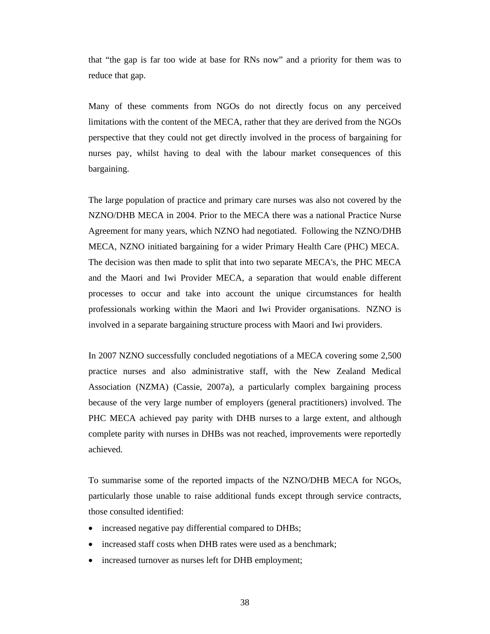that "the gap is far too wide at base for RNs now" and a priority for them was to reduce that gap.

Many of these comments from NGOs do not directly focus on any perceived limitations with the content of the MECA, rather that they are derived from the NGOs perspective that they could not get directly involved in the process of bargaining for nurses pay, whilst having to deal with the labour market consequences of this bargaining.

The large population of practice and primary care nurses was also not covered by the NZNO/DHB MECA in 2004. Prior to the MECA there was a national Practice Nurse Agreement for many years, which NZNO had negotiated. Following the NZNO/DHB MECA, NZNO initiated bargaining for a wider Primary Health Care (PHC) MECA. The decision was then made to split that into two separate MECA's, the PHC MECA and the Maori and Iwi Provider MECA, a separation that would enable different processes to occur and take into account the unique circumstances for health professionals working within the Maori and Iwi Provider organisations. NZNO is involved in a separate bargaining structure process with Maori and Iwi providers.

In 2007 NZNO successfully concluded negotiations of a MECA covering some 2,500 practice nurses and also administrative staff, with the New Zealand Medical Association (NZMA) (Cassie, 2007a), a particularly complex bargaining process because of the very large number of employers (general practitioners) involved. The PHC MECA achieved pay parity with DHB nurses to a large extent, and although complete parity with nurses in DHBs was not reached, improvements were reportedly achieved.

To summarise some of the reported impacts of the NZNO/DHB MECA for NGOs, particularly those unable to raise additional funds except through service contracts, those consulted identified:

- increased negative pay differential compared to DHBs;
- increased staff costs when DHB rates were used as a benchmark;
- increased turnover as nurses left for DHB employment;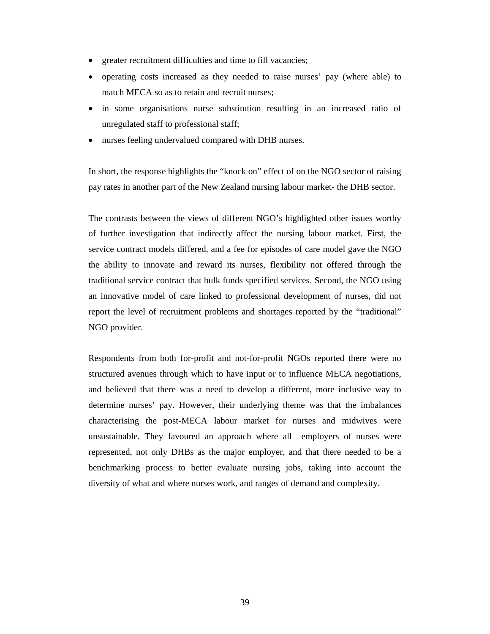- greater recruitment difficulties and time to fill vacancies;
- operating costs increased as they needed to raise nurses' pay (where able) to match MECA so as to retain and recruit nurses;
- in some organisations nurse substitution resulting in an increased ratio of unregulated staff to professional staff;
- nurses feeling undervalued compared with DHB nurses.

In short, the response highlights the "knock on" effect of on the NGO sector of raising pay rates in another part of the New Zealand nursing labour market- the DHB sector.

The contrasts between the views of different NGO's highlighted other issues worthy of further investigation that indirectly affect the nursing labour market. First, the service contract models differed, and a fee for episodes of care model gave the NGO the ability to innovate and reward its nurses, flexibility not offered through the traditional service contract that bulk funds specified services. Second, the NGO using an innovative model of care linked to professional development of nurses, did not report the level of recruitment problems and shortages reported by the "traditional" NGO provider.

Respondents from both for-profit and not-for-profit NGOs reported there were no structured avenues through which to have input or to influence MECA negotiations, and believed that there was a need to develop a different, more inclusive way to determine nurses' pay. However, their underlying theme was that the imbalances characterising the post-MECA labour market for nurses and midwives were unsustainable. They favoured an approach where all employers of nurses were represented, not only DHBs as the major employer, and that there needed to be a benchmarking process to better evaluate nursing jobs, taking into account the diversity of what and where nurses work, and ranges of demand and complexity.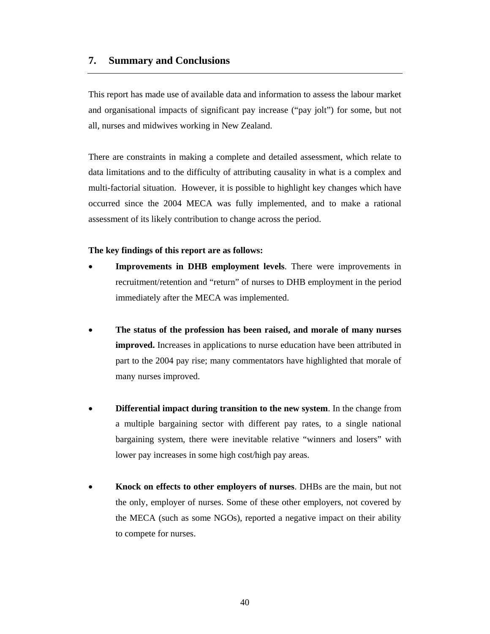#### **7. Summary and Conclusions**

This report has made use of available data and information to assess the labour market and organisational impacts of significant pay increase ("pay jolt") for some, but not all, nurses and midwives working in New Zealand.

There are constraints in making a complete and detailed assessment, which relate to data limitations and to the difficulty of attributing causality in what is a complex and multi-factorial situation. However, it is possible to highlight key changes which have occurred since the 2004 MECA was fully implemented, and to make a rational assessment of its likely contribution to change across the period.

**The key findings of this report are as follows:** 

- **Improvements in DHB employment levels**. There were improvements in recruitment/retention and "return" of nurses to DHB employment in the period immediately after the MECA was implemented.
- **The status of the profession has been raised, and morale of many nurses improved.** Increases in applications to nurse education have been attributed in part to the 2004 pay rise; many commentators have highlighted that morale of many nurses improved.
- **Differential impact during transition to the new system**. In the change from a multiple bargaining sector with different pay rates, to a single national bargaining system, there were inevitable relative "winners and losers" with lower pay increases in some high cost/high pay areas.
- **Knock on effects to other employers of nurses**. DHBs are the main, but not the only, employer of nurses. Some of these other employers, not covered by the MECA (such as some NGOs), reported a negative impact on their ability to compete for nurses.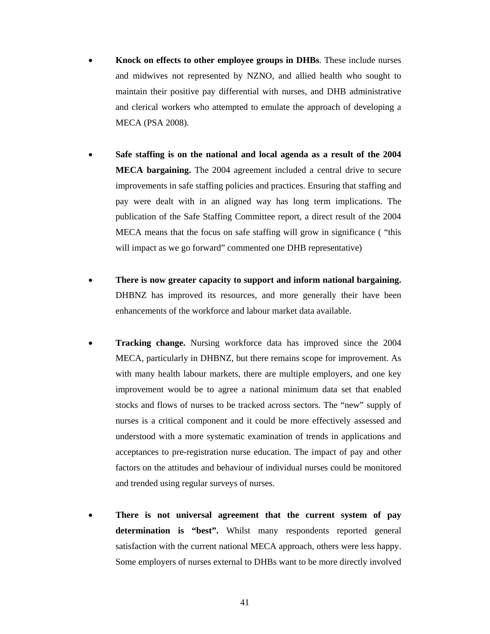- **Knock on effects to other employee groups in DHBs**. These include nurses and midwives not represented by NZNO, and allied health who sought to maintain their positive pay differential with nurses, and DHB administrative and clerical workers who attempted to emulate the approach of developing a MECA (PSA 2008).
- **Safe staffing is on the national and local agenda as a result of the 2004 MECA bargaining.** The 2004 agreement included a central drive to secure improvements in safe staffing policies and practices. Ensuring that staffing and pay were dealt with in an aligned way has long term implications. The publication of the Safe Staffing Committee report, a direct result of the 2004 MECA means that the focus on safe staffing will grow in significance ( "this will impact as we go forward" commented one DHB representative)
- **There is now greater capacity to support and inform national bargaining.**  DHBNZ has improved its resources, and more generally their have been enhancements of the workforce and labour market data available.
- **Tracking change.** Nursing workforce data has improved since the 2004 MECA, particularly in DHBNZ, but there remains scope for improvement. As with many health labour markets, there are multiple employers, and one key improvement would be to agree a national minimum data set that enabled stocks and flows of nurses to be tracked across sectors. The "new" supply of nurses is a critical component and it could be more effectively assessed and understood with a more systematic examination of trends in applications and acceptances to pre-registration nurse education. The impact of pay and other factors on the attitudes and behaviour of individual nurses could be monitored and trended using regular surveys of nurses.
- **There is not universal agreement that the current system of pay determination is "best".** Whilst many respondents reported general satisfaction with the current national MECA approach, others were less happy. Some employers of nurses external to DHBs want to be more directly involved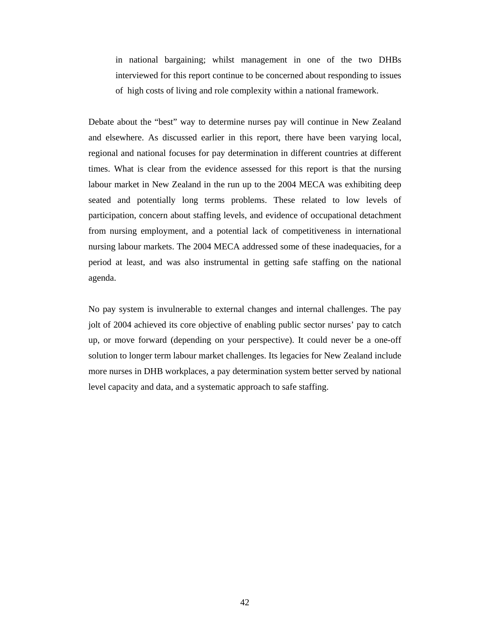in national bargaining; whilst management in one of the two DHBs interviewed for this report continue to be concerned about responding to issues of high costs of living and role complexity within a national framework.

Debate about the "best" way to determine nurses pay will continue in New Zealand and elsewhere. As discussed earlier in this report, there have been varying local, regional and national focuses for pay determination in different countries at different times. What is clear from the evidence assessed for this report is that the nursing labour market in New Zealand in the run up to the 2004 MECA was exhibiting deep seated and potentially long terms problems. These related to low levels of participation, concern about staffing levels, and evidence of occupational detachment from nursing employment, and a potential lack of competitiveness in international nursing labour markets. The 2004 MECA addressed some of these inadequacies, for a period at least, and was also instrumental in getting safe staffing on the national agenda.

No pay system is invulnerable to external changes and internal challenges. The pay jolt of 2004 achieved its core objective of enabling public sector nurses' pay to catch up, or move forward (depending on your perspective). It could never be a one-off solution to longer term labour market challenges. Its legacies for New Zealand include more nurses in DHB workplaces, a pay determination system better served by national level capacity and data, and a systematic approach to safe staffing.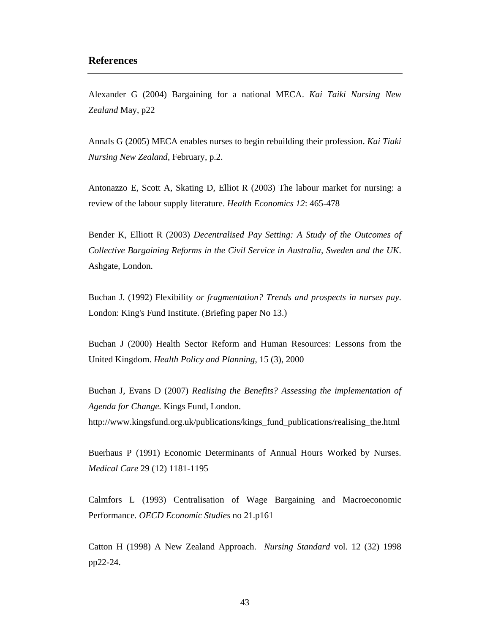#### **References**

Alexander G (2004) Bargaining for a national MECA. *Kai Taiki Nursing New Zealand* May, p22

Annals G (2005) MECA enables nurses to begin rebuilding their profession. *Kai Tiaki Nursing New Zealand*, February, p.2.

Antonazzo E, Scott A, Skating D, Elliot R (2003) The labour market for nursing: a review of the labour supply literature. *Health Economics 12*: 465-478

Bender K, Elliott R (2003) *Decentralised Pay Setting: A Study of the Outcomes of Collective Bargaining Reforms in the Civil Service in Australia, Sweden and the UK*. Ashgate, London.

Buchan J. (1992) Flexibility *or fragmentation? Trends and prospects in nurses pay*. London: King's Fund Institute. (Briefing paper No 13.)

Buchan J (2000) Health Sector Reform and Human Resources: Lessons from the United Kingdom. *Health Policy and Planning*, 15 (3), 2000

Buchan J, Evans D (2007) *Realising the Benefits? Assessing the implementation of Agenda for Change.* Kings Fund, London.

http://www.kingsfund.org.uk/publications/kings\_fund\_publications/realising\_the.html

Buerhaus P (1991) Economic Determinants of Annual Hours Worked by Nurses. *Medical Care* 29 (12) 1181-1195

Calmfors L (1993) Centralisation of Wage Bargaining and Macroeconomic Performance*. OECD Economic Studies* no 21.p161

Catton H (1998) A New Zealand Approach. *Nursing Standard* vol. 12 (32) 1998 pp22-24.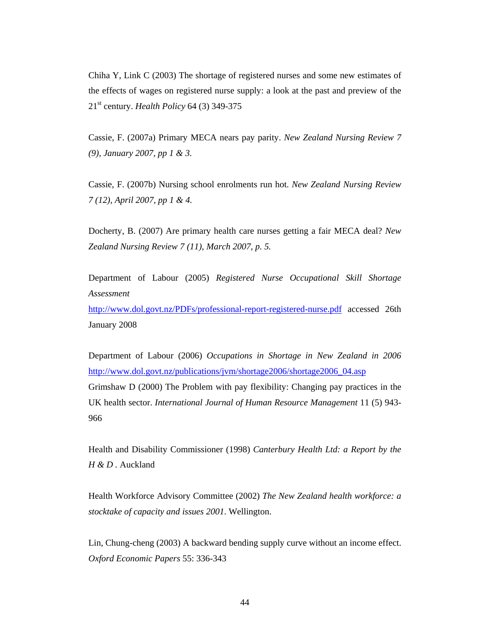Chiha Y, Link C (2003) The shortage of registered nurses and some new estimates of the effects of wages on registered nurse supply: a look at the past and preview of the 21st century. *Health Policy* 64 (3) 349-375

Cassie, F. (2007a) Primary MECA nears pay parity. *New Zealand Nursing Review 7 (9), January 2007, pp 1 & 3.* 

Cassie, F. (2007b) Nursing school enrolments run hot. *New Zealand Nursing Review 7 (12), April 2007, pp 1 & 4.* 

Docherty, B. (2007) Are primary health care nurses getting a fair MECA deal? *New Zealand Nursing Review 7 (11), March 2007, p. 5.* 

Department of Labour (2005) *Registered Nurse Occupational Skill Shortage Assessment*

http://www.dol.govt.nz/PDFs/professional-report-registered-nurse.pdf accessed 26th January 2008

Department of Labour (2006) *Occupations in Shortage in New Zealand in 2006* http://www.dol.govt.nz/publications/jvm/shortage2006/shortage2006\_04.asp Grimshaw D (2000) The Problem with pay flexibility: Changing pay practices in the UK health sector. *International Journal of Human Resource Management* 11 (5) 943- 966

Health and Disability Commissioner (1998) *Canterbury Health Ltd: a Report by the H & D .* Auckland

Health Workforce Advisory Committee (2002) *The New Zealand health workforce: a stocktake of capacity and issues 2001*. Wellington.

Lin, Chung-cheng (2003) A backward bending supply curve without an income effect. *Oxford Economic Papers* 55: 336-343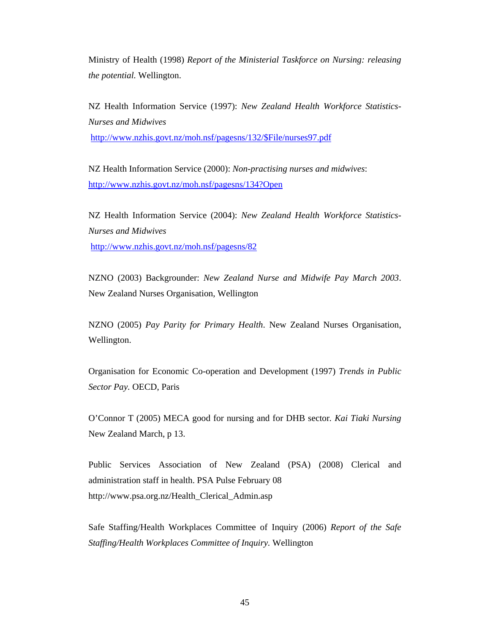Ministry of Health (1998) *Report of the Ministerial Taskforce on Nursing: releasing the potential.* Wellington.

NZ Health Information Service (1997): *New Zealand Health Workforce Statistics-Nurses and Midwives* http://www.nzhis.govt.nz/moh.nsf/pagesns/132/\$File/nurses97.pdf

NZ Health Information Service (2000): *Non-practising nurses and midwives*: http://www.nzhis.govt.nz/moh.nsf/pagesns/134?Open

NZ Health Information Service (2004): *New Zealand Health Workforce Statistics-Nurses and Midwives*  http://www.nzhis.govt.nz/moh.nsf/pagesns/82

NZNO (2003) Backgrounder: *New Zealand Nurse and Midwife Pay March 2003*. New Zealand Nurses Organisation, Wellington

NZNO (2005) *Pay Parity for Primary Health*. New Zealand Nurses Organisation, Wellington.

Organisation for Economic Co-operation and Development (1997) *Trends in Public Sector Pay.* OECD, Paris

O'Connor T (2005) MECA good for nursing and for DHB sector*. Kai Tiaki Nursing* New Zealand March, p 13.

Public Services Association of New Zealand (PSA) (2008) Clerical and administration staff in health. PSA Pulse February 08 http://www.psa.org.nz/Health\_Clerical\_Admin.asp

Safe Staffing/Health Workplaces Committee of Inquiry (2006) *Report of the Safe Staffing/Health Workplaces Committee of Inquiry.* Wellington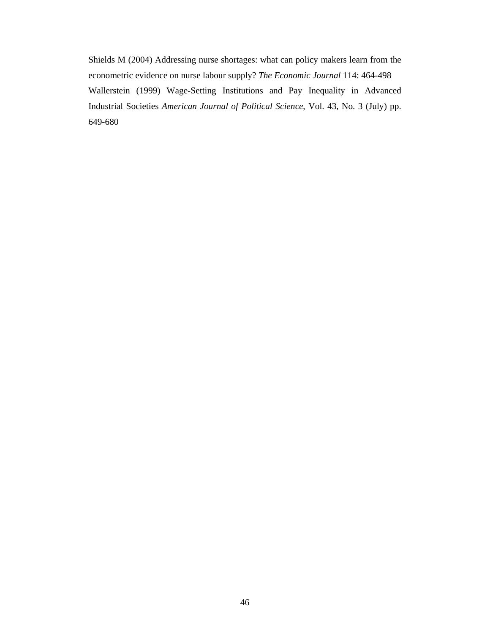Shields M (2004) Addressing nurse shortages: what can policy makers learn from the econometric evidence on nurse labour supply? *The Economic Journal* 114: 464-498 Wallerstein (1999) Wage-Setting Institutions and Pay Inequality in Advanced Industrial Societies *American Journal of Political Science*, Vol. 43, No. 3 (July) pp. 649-680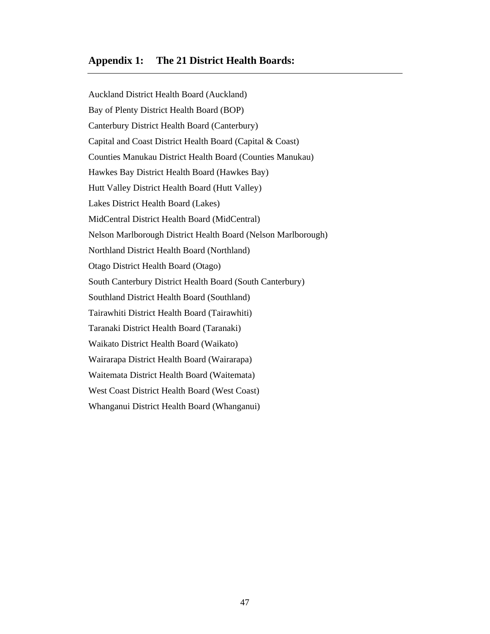#### **Appendix 1: The 21 District Health Boards:**

Auckland District Health Board (Auckland) Bay of Plenty District Health Board (BOP) Canterbury District Health Board (Canterbury) Capital and Coast District Health Board (Capital & Coast) Counties Manukau District Health Board (Counties Manukau) Hawkes Bay District Health Board (Hawkes Bay) Hutt Valley District Health Board (Hutt Valley) Lakes District Health Board (Lakes) MidCentral District Health Board (MidCentral) Nelson Marlborough District Health Board (Nelson Marlborough) Northland District Health Board (Northland) Otago District Health Board (Otago) South Canterbury District Health Board (South Canterbury) Southland District Health Board (Southland) Tairawhiti District Health Board (Tairawhiti) Taranaki District Health Board (Taranaki) Waikato District Health Board (Waikato) Wairarapa District Health Board (Wairarapa) Waitemata District Health Board (Waitemata) West Coast District Health Board (West Coast) Whanganui District Health Board (Whanganui)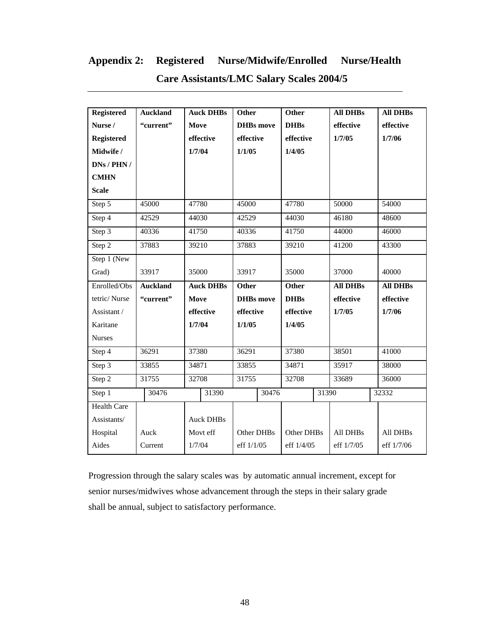## **Appendix 2: Registered Nurse/Midwife/Enrolled Nurse/Health**

| <b>Registered</b>  | <b>Auckland</b> | <b>Auck DHBs</b> | Other            | <b>Other</b> | <b>All DHBs</b> | <b>All DHBs</b> |
|--------------------|-----------------|------------------|------------------|--------------|-----------------|-----------------|
| Nurse /            | "current"       | <b>Move</b>      | <b>DHBs</b> move | <b>DHBs</b>  | effective       | effective       |
| <b>Registered</b>  |                 | effective        | effective        | effective    | 1/7/05          | 1/7/06          |
| Midwife /          |                 | 1/7/04           | 1/1/05           | 1/4/05       |                 |                 |
| DNS / PHN /        |                 |                  |                  |              |                 |                 |
| <b>CMHN</b>        |                 |                  |                  |              |                 |                 |
| <b>Scale</b>       |                 |                  |                  |              |                 |                 |
| Step 5             | 45000           | 47780            | 45000            | 47780        | 50000           | 54000           |
| Step 4             | 42529           | 44030            | 42529            | 44030        | 46180           | 48600           |
| Step 3             | 40336           | 41750            | 40336            | 41750        | 44000           | 46000           |
| Step 2             | 37883           | 39210            | 37883            | 39210        | 41200           | 43300           |
| Step 1 (New        |                 |                  |                  |              |                 |                 |
| Grad)              | 33917           | 35000            | 33917            | 35000        | 37000           | 40000           |
| Enrolled/Obs       | <b>Auckland</b> | <b>Auck DHBs</b> | <b>Other</b>     | Other        | <b>All DHBs</b> | <b>All DHBs</b> |
| tetric/Nurse       | "current"       | Move             | <b>DHBs</b> move | <b>DHBs</b>  | effective       | effective       |
| Assistant /        |                 | effective        | effective        | effective    | 1/7/05          | 1/7/06          |
| Karitane           |                 | 1/7/04           | 1/1/05           | 1/4/05       |                 |                 |
| <b>Nurses</b>      |                 |                  |                  |              |                 |                 |
| Step 4             | 36291           | 37380            | 36291            | 37380        | 38501           | 41000           |
| Step 3             | 33855           | 34871            | 33855            | 34871        | 35917           | 38000           |
| Step 2             | 31755           | 32708            | 31755            | 32708        | 33689           | 36000           |
| Step 1             | 30476           | 31390            | 30476            | 31390        |                 | 32332           |
| <b>Health Care</b> |                 |                  |                  |              |                 |                 |
| Assistants/        |                 | <b>Auck DHBs</b> |                  |              |                 |                 |
| Hospital           | Auck            | Movt eff         | Other DHBs       | Other DHBs   | All DHBs        | All DHBs        |
| Aides              | Current         | 1/7/04           | eff $1/1/05$     | eff 1/4/05   | eff 1/7/05      | eff 1/7/06      |

### **Care Assistants/LMC Salary Scales 2004/5**

Progression through the salary scales was by automatic annual increment, except for senior nurses/midwives whose advancement through the steps in their salary grade shall be annual, subject to satisfactory performance.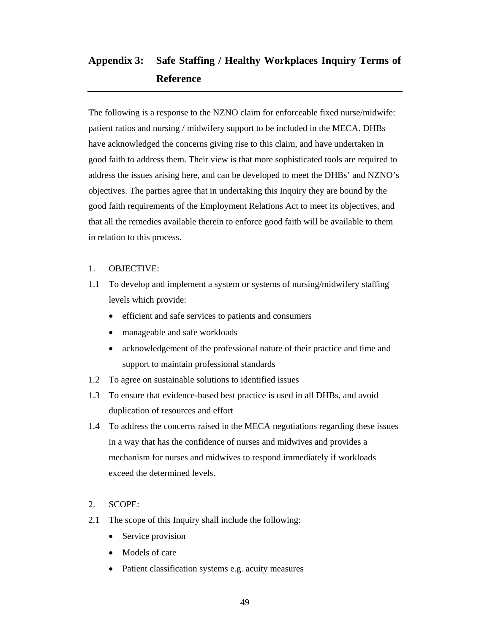## **Appendix 3: Safe Staffing / Healthy Workplaces Inquiry Terms of Reference**

The following is a response to the NZNO claim for enforceable fixed nurse/midwife: patient ratios and nursing / midwifery support to be included in the MECA. DHBs have acknowledged the concerns giving rise to this claim, and have undertaken in good faith to address them. Their view is that more sophisticated tools are required to address the issues arising here, and can be developed to meet the DHBs' and NZNO's objectives. The parties agree that in undertaking this Inquiry they are bound by the good faith requirements of the Employment Relations Act to meet its objectives, and that all the remedies available therein to enforce good faith will be available to them in relation to this process.

#### 1. OBJECTIVE:

- 1.1 To develop and implement a system or systems of nursing/midwifery staffing levels which provide:
	- efficient and safe services to patients and consumers
	- manageable and safe workloads
	- acknowledgement of the professional nature of their practice and time and support to maintain professional standards
- 1.2 To agree on sustainable solutions to identified issues
- 1.3 To ensure that evidence-based best practice is used in all DHBs, and avoid duplication of resources and effort
- 1.4 To address the concerns raised in the MECA negotiations regarding these issues in a way that has the confidence of nurses and midwives and provides a mechanism for nurses and midwives to respond immediately if workloads exceed the determined levels.

#### 2. SCOPE:

- 2.1 The scope of this Inquiry shall include the following:
	- Service provision
	- Models of care
	- Patient classification systems e.g. acuity measures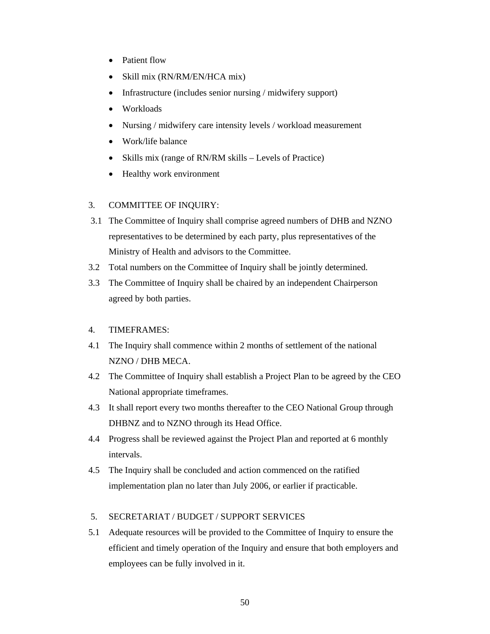- Patient flow
- Skill mix (RN/RM/EN/HCA mix)
- Infrastructure (includes senior nursing / midwifery support)
- Workloads
- Nursing / midwifery care intensity levels / workload measurement
- Work/life balance
- Skills mix (range of RN/RM skills Levels of Practice)
- Healthy work environment

#### 3. COMMITTEE OF INQUIRY:

- 3.1 The Committee of Inquiry shall comprise agreed numbers of DHB and NZNO representatives to be determined by each party, plus representatives of the Ministry of Health and advisors to the Committee.
- 3.2 Total numbers on the Committee of Inquiry shall be jointly determined.
- 3.3 The Committee of Inquiry shall be chaired by an independent Chairperson agreed by both parties.
- 4. TIMEFRAMES:
- 4.1 The Inquiry shall commence within 2 months of settlement of the national NZNO / DHB MECA.
- 4.2 The Committee of Inquiry shall establish a Project Plan to be agreed by the CEO National appropriate timeframes.
- 4.3 It shall report every two months thereafter to the CEO National Group through DHBNZ and to NZNO through its Head Office.
- 4.4 Progress shall be reviewed against the Project Plan and reported at 6 monthly intervals.
- 4.5 The Inquiry shall be concluded and action commenced on the ratified implementation plan no later than July 2006, or earlier if practicable.

#### 5. SECRETARIAT / BUDGET / SUPPORT SERVICES

5.1 Adequate resources will be provided to the Committee of Inquiry to ensure the efficient and timely operation of the Inquiry and ensure that both employers and employees can be fully involved in it.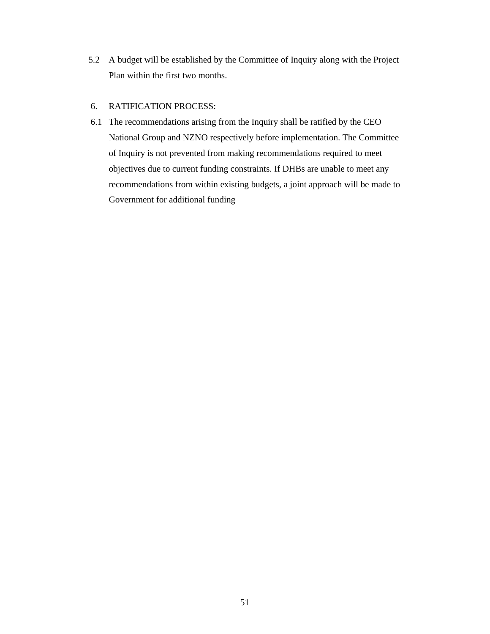5.2 A budget will be established by the Committee of Inquiry along with the Project Plan within the first two months.

#### 6. RATIFICATION PROCESS:

 6.1 The recommendations arising from the Inquiry shall be ratified by the CEO National Group and NZNO respectively before implementation. The Committee of Inquiry is not prevented from making recommendations required to meet objectives due to current funding constraints. If DHBs are unable to meet any recommendations from within existing budgets, a joint approach will be made to Government for additional funding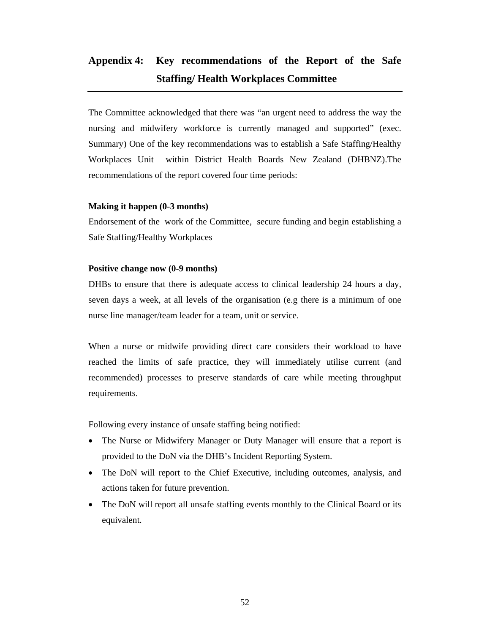## **Appendix 4: Key recommendations of the Report of the Safe Staffing/ Health Workplaces Committee**

The Committee acknowledged that there was "an urgent need to address the way the nursing and midwifery workforce is currently managed and supported" (exec. Summary) One of the key recommendations was to establish a Safe Staffing/Healthy Workplaces Unit within District Health Boards New Zealand (DHBNZ).The recommendations of the report covered four time periods:

#### **Making it happen (0-3 months)**

Endorsement of the work of the Committee, secure funding and begin establishing a Safe Staffing/Healthy Workplaces

#### **Positive change now (0-9 months)**

DHBs to ensure that there is adequate access to clinical leadership 24 hours a day, seven days a week, at all levels of the organisation (e.g there is a minimum of one nurse line manager/team leader for a team, unit or service.

When a nurse or midwife providing direct care considers their workload to have reached the limits of safe practice, they will immediately utilise current (and recommended) processes to preserve standards of care while meeting throughput requirements.

Following every instance of unsafe staffing being notified:

- The Nurse or Midwifery Manager or Duty Manager will ensure that a report is provided to the DoN via the DHB's Incident Reporting System.
- The DoN will report to the Chief Executive, including outcomes, analysis, and actions taken for future prevention.
- The DoN will report all unsafe staffing events monthly to the Clinical Board or its equivalent.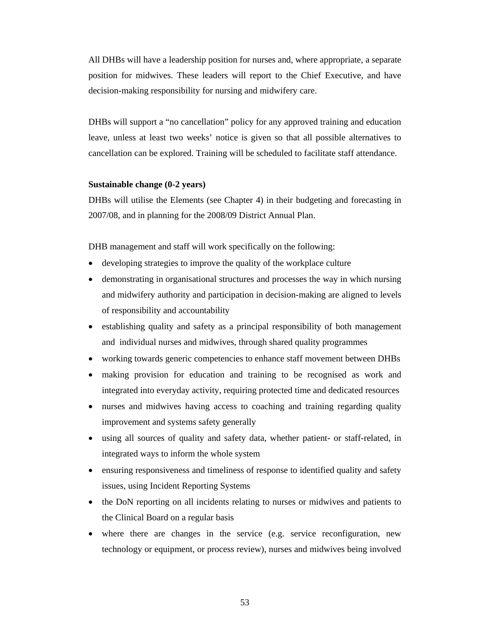All DHBs will have a leadership position for nurses and, where appropriate, a separate position for midwives. These leaders will report to the Chief Executive, and have decision-making responsibility for nursing and midwifery care.

DHBs will support a "no cancellation" policy for any approved training and education leave, unless at least two weeks' notice is given so that all possible alternatives to cancellation can be explored. Training will be scheduled to facilitate staff attendance.

#### **Sustainable change (0-2 years)**

DHBs will utilise the Elements (see Chapter 4) in their budgeting and forecasting in 2007/08, and in planning for the 2008/09 District Annual Plan.

DHB management and staff will work specifically on the following:

- developing strategies to improve the quality of the workplace culture
- demonstrating in organisational structures and processes the way in which nursing and midwifery authority and participation in decision-making are aligned to levels of responsibility and accountability
- establishing quality and safety as a principal responsibility of both management and individual nurses and midwives, through shared quality programmes
- working towards generic competencies to enhance staff movement between DHBs
- making provision for education and training to be recognised as work and integrated into everyday activity, requiring protected time and dedicated resources
- nurses and midwives having access to coaching and training regarding quality improvement and systems safety generally
- using all sources of quality and safety data, whether patient- or staff-related, in integrated ways to inform the whole system
- ensuring responsiveness and timeliness of response to identified quality and safety issues, using Incident Reporting Systems
- the DoN reporting on all incidents relating to nurses or midwives and patients to the Clinical Board on a regular basis
- where there are changes in the service (e.g. service reconfiguration, new technology or equipment, or process review), nurses and midwives being involved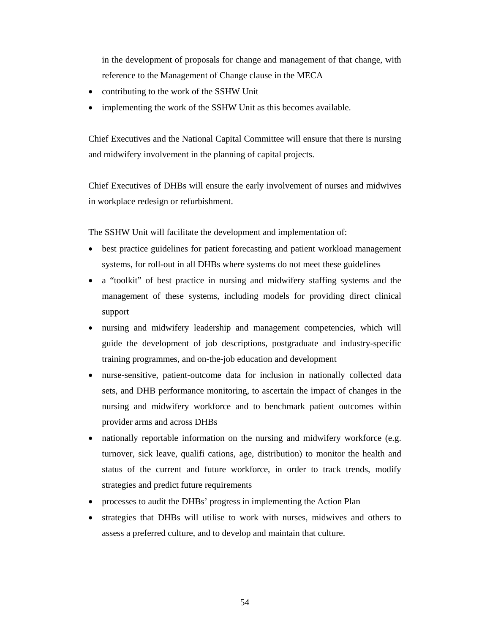in the development of proposals for change and management of that change, with reference to the Management of Change clause in the MECA

- contributing to the work of the SSHW Unit
- implementing the work of the SSHW Unit as this becomes available.

Chief Executives and the National Capital Committee will ensure that there is nursing and midwifery involvement in the planning of capital projects.

Chief Executives of DHBs will ensure the early involvement of nurses and midwives in workplace redesign or refurbishment.

The SSHW Unit will facilitate the development and implementation of:

- best practice guidelines for patient forecasting and patient workload management systems, for roll-out in all DHBs where systems do not meet these guidelines
- a "toolkit" of best practice in nursing and midwifery staffing systems and the management of these systems, including models for providing direct clinical support
- nursing and midwifery leadership and management competencies, which will guide the development of job descriptions, postgraduate and industry-specific training programmes, and on-the-job education and development
- nurse-sensitive, patient-outcome data for inclusion in nationally collected data sets, and DHB performance monitoring, to ascertain the impact of changes in the nursing and midwifery workforce and to benchmark patient outcomes within provider arms and across DHBs
- nationally reportable information on the nursing and midwifery workforce (e.g. turnover, sick leave, qualifi cations, age, distribution) to monitor the health and status of the current and future workforce, in order to track trends, modify strategies and predict future requirements
- processes to audit the DHBs' progress in implementing the Action Plan
- strategies that DHBs will utilise to work with nurses, midwives and others to assess a preferred culture, and to develop and maintain that culture.